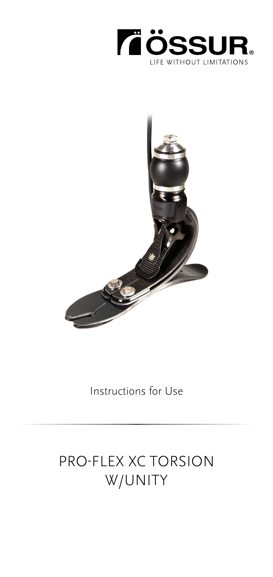



Instructions for Use

# PRO-FLEX XC TORSION W/UNITY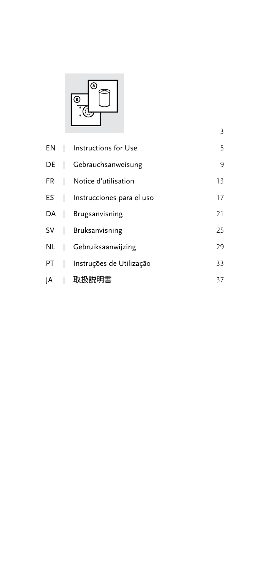

|  | EN   Instructions for Use      | 5  |
|--|--------------------------------|----|
|  | DE   Gebrauchsanweisung        | 9  |
|  | FR   Notice d'utilisation      | 13 |
|  | ES   Instrucciones para el uso | 17 |
|  | DA   Brugsanvisning            | 21 |
|  | SV   Bruksanvisning            | 25 |
|  | NL   Gebruiksaanwijzing        | 29 |
|  | PT   Instruções de Utilização  | 33 |
|  | A   取扱説明書                      | 37 |
|  |                                |    |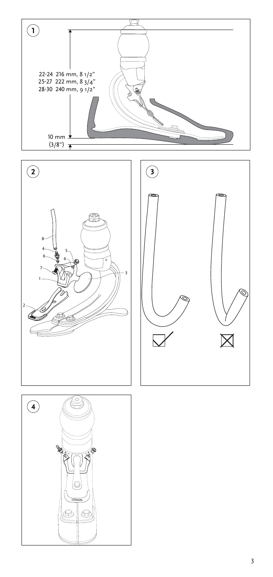<span id="page-2-0"></span>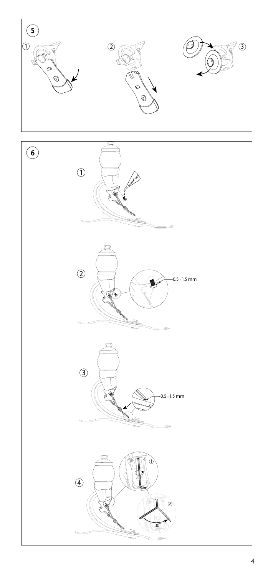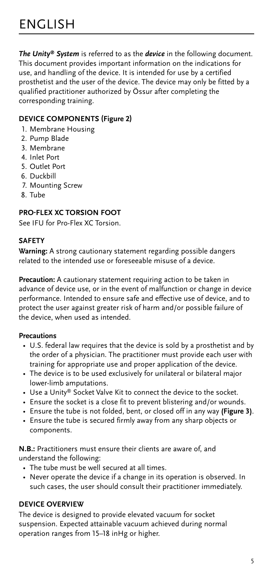<span id="page-4-0"></span>*The Unity® System* is referred to as the *device* in the following document. This document provides important information on the indications for use, and handling of the device. It is intended for use by a certified prosthetist and the user of the device. The device may only be fitted by a qualified practitioner authorized by Össur after completing the corresponding training.

# **DEVICE COMPONENTS (Figure 2)**

- 1. Membrane Housing
- 2. Pump Blade
- 3. Membrane
- 4. Inlet Port
- 5. Outlet Port
- 6. Duckbill
- 7. Mounting Screw
- 8. Tube

# **PRO-FLEX XC TORSION FOOT**

See IFU for Pro-Flex XC Torsion.

# **SAFETY**

**Warning:** A strong cautionary statement regarding possible dangers related to the intended use or foreseeable misuse of a device.

**Precaution:** A cautionary statement requiring action to be taken in advance of device use, or in the event of malfunction or change in device performance. Intended to ensure safe and effective use of device, and to protect the user against greater risk of harm and/or possible failure of the device, when used as intended.

### **Precautions**

- U.S. federal law requires that the device is sold by a prosthetist and by the order of a physician. The practitioner must provide each user with training for appropriate use and proper application of the device.
- The device is to be used exclusively for unilateral or bilateral major lower-limb amputations.
- Use a Unity® Socket Valve Kit to connect the device to the socket.
- Ensure the socket is a close fit to prevent blistering and/or wounds.
- Ensure the tube is not folded, bent, or closed off in any way **(Figure 3)**.
- Ensure the tube is secured firmly away from any sharp objects or components.

**N.B.:** Practitioners must ensure their clients are aware of, and understand the following:

- The tube must be well secured at all times.
- Never operate the device if a change in its operation is observed. In such cases, the user should consult their practitioner immediately.

### **DEVICE OVERVIEW**

The device is designed to provide elevated vacuum for socket suspension. Expected attainable vacuum achieved during normal operation ranges from 15–18 inHg or higher.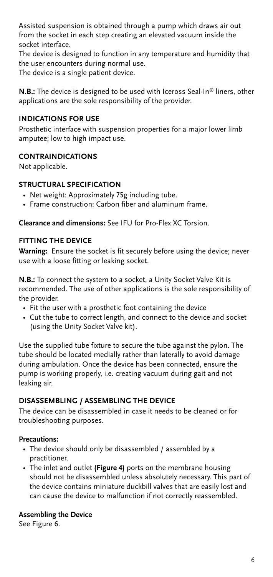Assisted suspension is obtained through a pump which draws air out from the socket in each step creating an elevated vacuum inside the socket interface.

The device is designed to function in any temperature and humidity that the user encounters during normal use. The device is a single patient device.

**N.B.:** The device is designed to be used with Iceross Seal-In® liners, other applications are the sole responsibility of the provider.

# **INDICATIONS FOR USE**

Prosthetic interface with suspension properties for a major lower limb amputee; low to high impact use.

# **CONTRAINDICATIONS**

Not applicable.

### **STRUCTURAL SPECIFICATION**

- Net weight: Approximately 75g including tube.
- Frame construction: Carbon fiber and aluminum frame.

**Clearance and dimensions:** See IFU for Pro-Flex XC Torsion.

# **FITTING THE DEVICE**

**Warning:** Ensure the socket is fit securely before using the device; never use with a loose fitting or leaking socket.

**N.B.:** To connect the system to a socket, a Unity Socket Valve Kit is recommended. The use of other applications is the sole responsibility of the provider.

- Fit the user with a prosthetic foot containing the device
- Cut the tube to correct length, and connect to the device and socket (using the Unity Socket Valve kit).

Use the supplied tube fixture to secure the tube against the pylon. The tube should be located medially rather than laterally to avoid damage during ambulation. Once the device has been connected, ensure the pump is working properly, i.e. creating vacuum during gait and not leaking air.

# **DISASSEMBLING / ASSEMBLING THE DEVICE**

The device can be disassembled in case it needs to be cleaned or for troubleshooting purposes.

### **Precautions:**

- The device should only be disassembled / assembled by a practitioner.
- The inlet and outlet **(Figure 4)** ports on the membrane housing should not be disassembled unless absolutely necessary. This part of the device contains miniature duckbill valves that are easily lost and can cause the device to malfunction if not correctly reassembled.

### **Assembling the Device**

See Figure 6.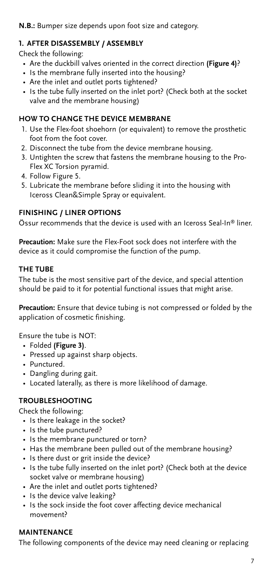# **N.B.:** Bumper size depends upon foot size and category.

# **1. AFTER DISASSEMBLY / ASSEMBLY**

Check the following:

- Are the duckbill valves oriented in the correct direction **(Figure 4)**?
- Is the membrane fully inserted into the housing?
- Are the inlet and outlet ports tightened?
- Is the tube fully inserted on the inlet port? (Check both at the socket valve and the membrane housing)

# **HOW TO CHANGE THE DEVICE MEMBRANE**

- 1. Use the Flex-foot shoehorn (or equivalent) to remove the prosthetic foot from the foot cover.
- 2. Disconnect the tube from the device membrane housing.
- 3. Untighten the screw that fastens the membrane housing to the Pro-Flex XC Torsion pyramid.
- 4. Follow Figure 5.
- 5. Lubricate the membrane before sliding it into the housing with Iceross Clean&Simple Spray or equivalent.

# **FINISHING / LINER OPTIONS**

Össur recommends that the device is used with an Iceross Seal-In® liner.

**Precaution:** Make sure the Flex-Foot sock does not interfere with the device as it could compromise the function of the pump.

# **THE TUBE**

The tube is the most sensitive part of the device, and special attention should be paid to it for potential functional issues that might arise.

**Precaution:** Ensure that device tubing is not compressed or folded by the application of cosmetic finishing.

Ensure the tube is NOT:

- Folded **(Figure 3)**.
- Pressed up against sharp objects.
- Punctured.
- Dangling during gait.
- Located laterally, as there is more likelihood of damage.

# **TROUBLESHOOTING**

Check the following:

- Is there leakage in the socket?
- Is the tube punctured?
- Is the membrane punctured or torn?
- Has the membrane been pulled out of the membrane housing?
- Is there dust or grit inside the device?
- Is the tube fully inserted on the inlet port? (Check both at the device socket valve or membrane housing)
- Are the inlet and outlet ports tightened?
- Is the device valve leaking?
- Is the sock inside the foot cover affecting device mechanical movement?

# **MAINTENANCE**

The following components of the device may need cleaning or replacing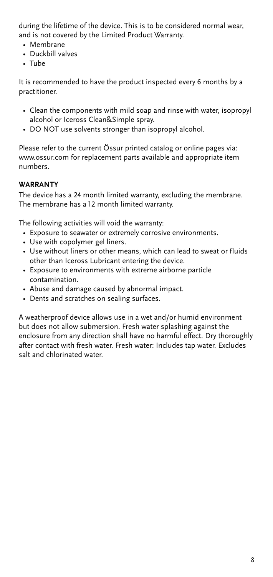during the lifetime of the device. This is to be considered normal wear, and is not covered by the Limited Product Warranty.

- Membrane
- Duckbill valves
- Tube

It is recommended to have the product inspected every 6 months by a practitioner.

- Clean the components with mild soap and rinse with water, isopropyl alcohol or Iceross Clean&Simple spray.
- DO NOT use solvents stronger than isopropyl alcohol.

Please refer to the current Össur printed catalog or online pages via: www.ossur.com for replacement parts available and appropriate item numbers.

#### **WARRANTY**

The device has a 24 month limited warranty, excluding the membrane. The membrane has a 12 month limited warranty.

The following activities will void the warranty:

- Exposure to seawater or extremely corrosive environments.
- Use with copolymer gel liners.
- Use without liners or other means, which can lead to sweat or fluids other than Iceross Lubricant entering the device.
- Exposure to environments with extreme airborne particle contamination.
- Abuse and damage caused by abnormal impact.
- Dents and scratches on sealing surfaces.

A weatherproof device allows use in a wet and/or humid environment but does not allow submersion. Fresh water splashing against the enclosure from any direction shall have no harmful effect. Dry thoroughly after contact with fresh water. Fresh water: Includes tap water. Excludes salt and chlorinated water.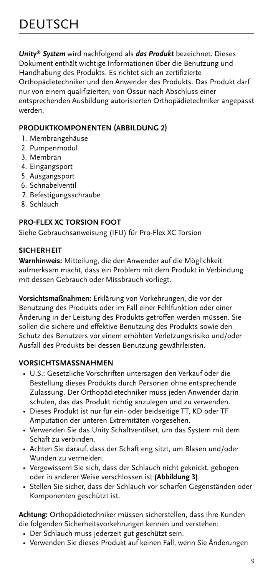<span id="page-8-0"></span>*Unity® System* wird nachfolgend als *das Produkt* bezeichnet. Dieses Dokument enthält wichtige Informationen über die Benutzung und Handhabung des Produkts. Es richtet sich an zertifizierte Orthopädietechniker und den Anwender des Produkts. Das Produkt darf nur von einem qualifizierten, von Össur nach Abschluss einer entsprechenden Ausbildung autorisierten Orthopädietechniker angepasst werden.

# **PRODUKTKOMPONENTEN (ABBILDUNG 2)**

- 1. Membrangehäuse
- 2. Pumpenmodul
- 3. Membran
- 4. Eingangsport
- 5. Ausgangsport
- 6. Schnabelventil
- 7. Befestigungsschraube
- 8. Schlauch

# **PRO-FLEX XC TORSION FOOT**

Siehe Gebrauchsanweisung (IFU) für Pro-Flex XC Torsion

# **SICHERHEIT**

**Warnhinweis:** Mitteilung, die den Anwender auf die Möglichkeit aufmerksam macht, dass ein Problem mit dem Produkt in Verbindung mit dessen Gebrauch oder Missbrauch vorliegt.

**Vorsichtsmaßnahmen:** Erklärung von Vorkehrungen, die vor der Benutzung des Produkts oder im Fall einer Fehlfunktion oder einer Änderung in der Leistung des Produkts getroffen werden müssen. Sie sollen die sichere und effektive Benutzung des Produkts sowie den Schutz des Benutzers vor einem erhöhten Verletzungsrisiko und/oder Ausfall des Produkts bei dessen Benutzung gewährleisten.

# **VORSICHTSMASSNAHMEN**

- U.S.: Gesetzliche Vorschriften untersagen den Verkauf oder die Bestellung dieses Produkts durch Personen ohne entsprechende Zulassung. Der Orthopädietechniker muss jeden Anwender darin schulen, das das Produkt richtig anzulegen und zu verwenden.
- Dieses Produkt ist nur für ein- oder beidseitige TT, KD oder TF Amputation der unteren Extremitäten vorgesehen.
- Verwenden Sie das Unity Schaftventilset, um das System mit dem Schaft zu verbinden.
- Achten Sie darauf, dass der Schaft eng sitzt, um Blasen und/oder Wunden zu vermeiden.
- Vergewissern Sie sich, dass der Schlauch nicht geknickt, gebogen oder in anderer Weise verschlossen ist **(Abbildung 3)**.
- Stellen Sie sicher, dass der Schlauch vor scharfen Gegenständen oder Komponenten geschützt ist.

**Achtung:** Orthopädietechniker müssen sicherstellen, dass ihre Kunden die folgenden Sicherheitsvorkehrungen kennen und verstehen:

- Der Schlauch muss jederzeit gut geschützt sein.
- Verwenden Sie dieses Produkt auf keinen Fall, wenn Sie Änderungen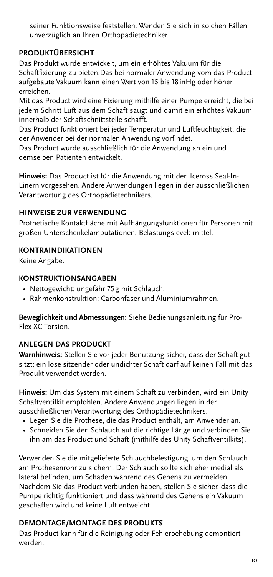seiner Funktionsweise feststellen. Wenden Sie sich in solchen Fällen unverzüglich an Ihren Orthopädietechniker.

# **PRODUKTÜBERSICHT**

Das Produkt wurde entwickelt, um ein erhöhtes Vakuum für die Schaftfixierung zu bieten.Das bei normaler Anwendung vom das Product aufgebaute Vakuum kann einen Wert von 15 bis 18 inHg oder höher erreichen.

Mit das Product wird eine Fixierung mithilfe einer Pumpe erreicht, die bei jedem Schritt Luft aus dem Schaft saugt und damit ein erhöhtes Vakuum innerhalb der Schaftschnittstelle schafft.

Das Product funktioniert bei jeder Temperatur und Luftfeuchtigkeit, die der Anwender bei der normalen Anwendung vorfindet.

Das Product wurde ausschließlich für die Anwendung an ein und demselben Patienten entwickelt.

**Hinweis:** Das Product ist für die Anwendung mit den Iceross Seal-In-Linern vorgesehen. Andere Anwendungen liegen in der ausschließlichen Verantwortung des Orthopädietechnikers.

# **HINWEISE ZUR VERWENDUNG**

Prothetische Kontaktfläche mit Aufhängungsfunktionen für Personen mit großen Unterschenkelamputationen; Belastungslevel: mittel.

# **KONTRAINDIKATIONEN**

Keine Angabe.

# **KONSTRUKTIONSANGABEN**

- Nettogewicht: ungefähr 75g mit Schlauch.
- Rahmenkonstruktion: Carbonfaser und Aluminiumrahmen.

**Beweglichkeit und Abmessungen:** Siehe Bedienungsanleitung für Pro-Flex XC Torsion.

# **ANLEGEN DAS PRODUCKT**

**Warnhinweis:** Stellen Sie vor jeder Benutzung sicher, dass der Schaft gut sitzt; ein lose sitzender oder undichter Schaft darf auf keinen Fall mit das Produkt verwendet werden.

**Hinweis:** Um das System mit einem Schaft zu verbinden, wird ein Unity Schaftventilkit empfohlen. Andere Anwendungen liegen in der ausschließlichen Verantwortung des Orthopädietechnikers.

- Legen Sie die Prothese, die das Product enthält, am Anwender an.
- Schneiden Sie den Schlauch auf die richtige Länge und verbinden Sie ihn am das Product und Schaft (mithilfe des Unity Schaftventilkits).

Verwenden Sie die mitgelieferte Schlauchbefestigung, um den Schlauch am Prothesenrohr zu sichern. Der Schlauch sollte sich eher medial als lateral befinden, um Schäden während des Gehens zu vermeiden. Nachdem Sie das Product verbunden haben, stellen Sie sicher, dass die Pumpe richtig funktioniert und dass während des Gehens ein Vakuum geschaffen wird und keine Luft entweicht.

# **DEMONTAGE/MONTAGE DES PRODUKTS**

Das Product kann für die Reinigung oder Fehlerbehebung demontiert werden.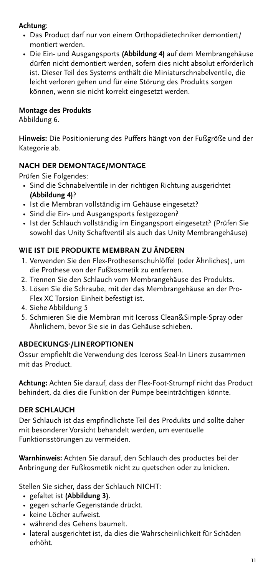# **Achtung**:

- Das Product darf nur von einem Orthopädietechniker demontiert/ montiert werden.
- Die Ein- und Ausgangsports **(Abbildung 4)** auf dem Membrangehäuse dürfen nicht demontiert werden, sofern dies nicht absolut erforderlich ist. Dieser Teil des Systems enthält die Miniaturschnabelventile, die leicht verloren gehen und für eine Störung des Produkts sorgen können, wenn sie nicht korrekt eingesetzt werden.

# **Montage des Produkts**

Abbildung 6.

**Hinweis:** Die Positionierung des Puffers hängt von der Fußgröße und der Kategorie ab.

# **NACH DER DEMONTAGE/MONTAGE**

Prüfen Sie Folgendes:

- Sind die Schnabelventile in der richtigen Richtung ausgerichtet **(Abbildung 4)**?
- Ist die Membran vollständig im Gehäuse eingesetzt?
- Sind die Ein- und Ausgangsports festgezogen?
- Ist der Schlauch vollständig im Eingangsport eingesetzt? (Prüfen Sie sowohl das Unity Schaftventil als auch das Unity Membrangehäuse)

# **WIE IST DIE PRODUKTE MEMBRAN ZU ÄNDERN**

- 1. Verwenden Sie den Flex-Prothesenschuhlöffel (oder Ähnliches), um die Prothese von der Fußkosmetik zu entfernen.
- 2. Trennen Sie den Schlauch vom Membrangehäuse des Produkts.
- 3. Lösen Sie die Schraube, mit der das Membrangehäuse an der Pro-Flex XC Torsion Einheit befestigt ist.
- 4. Siehe Abbildung 5
- 5. Schmieren Sie die Membran mit Iceross Clean&Simple-Spray oder Ähnlichem, bevor Sie sie in das Gehäuse schieben.

### **ABDECKUNGS-/LINEROPTIONEN**

Össur empfiehlt die Verwendung des Iceross Seal-In Liners zusammen mit das Product.

**Achtung:** Achten Sie darauf, dass der Flex-Foot-Strumpf nicht das Product behindert, da dies die Funktion der Pumpe beeinträchtigen könnte.

# **DER SCHLAUCH**

Der Schlauch ist das empfindlichste Teil des Produkts und sollte daher mit besonderer Vorsicht behandelt werden, um eventuelle Funktionsstörungen zu vermeiden.

**Warnhinweis:** Achten Sie darauf, den Schlauch des productes bei der Anbringung der Fußkosmetik nicht zu quetschen oder zu knicken.

Stellen Sie sicher, dass der Schlauch NICHT:

- gefaltet ist **(Abbildung 3)**.
- gegen scharfe Gegenstände drückt.
- keine Löcher aufweist.
- während des Gehens baumelt.
- lateral ausgerichtet ist, da dies die Wahrscheinlichkeit für Schäden erhöht.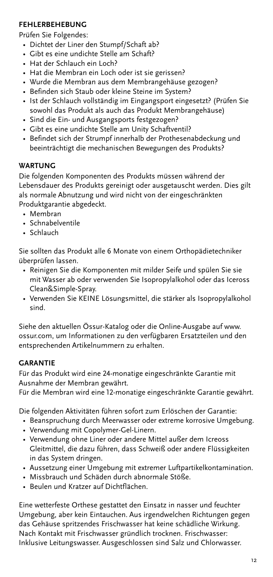### **FEHLERBEHEBUNG**

Prüfen Sie Folgendes:

- Dichtet der Liner den Stumpf/Schaft ab?
- Gibt es eine undichte Stelle am Schaft?
- Hat der Schlauch ein Loch?
- Hat die Membran ein Loch oder ist sie gerissen?
- Wurde die Membran aus dem Membrangehäuse gezogen?
- Befinden sich Staub oder kleine Steine im System?
- Ist der Schlauch vollständig im Eingangsport eingesetzt? (Prüfen Sie sowohl das Produkt als auch das Produkt Membrangehäuse)
- Sind die Ein- und Ausgangsports festgezogen?
- Gibt es eine undichte Stelle am Unity Schaftventil?
- Befindet sich der Strumpf innerhalb der Prothesenabdeckung und beeinträchtigt die mechanischen Bewegungen des Produkts?

### **WARTUNG**

Die folgenden Komponenten des Produkts müssen während der Lebensdauer des Produkts gereinigt oder ausgetauscht werden. Dies gilt als normale Abnutzung und wird nicht von der eingeschränkten Produktgarantie abgedeckt.

- Membran
- Schnabelventile
- Schlauch

Sie sollten das Produkt alle 6 Monate von einem Orthopädietechniker überprüfen lassen.

- Reinigen Sie die Komponenten mit milder Seife und spülen Sie sie mit Wasser ab oder verwenden Sie Isopropylalkohol oder das Iceross Clean&Simple-Spray.
- Verwenden Sie KEINE Lösungsmittel, die stärker als Isopropylalkohol sind.

Siehe den aktuellen Össur-Katalog oder die Online-Ausgabe auf www. ossur.com, um Informationen zu den verfügbaren Ersatzteilen und den entsprechenden Artikelnummern zu erhalten.

# **GARANTIE**

Für das Produkt wird eine 24-monatige eingeschränkte Garantie mit Ausnahme der Membran gewährt.

Für die Membran wird eine 12-monatige eingeschränkte Garantie gewährt.

Die folgenden Aktivitäten führen sofort zum Erlöschen der Garantie:

- Beanspruchung durch Meerwasser oder extreme korrosive Umgebung.
- Verwendung mit Copolymer-Gel-Linern.
- Verwendung ohne Liner oder andere Mittel außer dem Icreoss Gleitmittel, die dazu führen, dass Schweiß oder andere Flüssigkeiten in das System dringen.
- Aussetzung einer Umgebung mit extremer Luftpartikelkontamination.
- Missbrauch und Schäden durch abnormale Stöße.
- Beulen und Kratzer auf Dichtflächen.

Eine wetterfeste Orthese gestattet den Einsatz in nasser und feuchter Umgebung, aber kein Eintauchen. Aus irgendwelchen Richtungen gegen das Gehäuse spritzendes Frischwasser hat keine schädliche Wirkung. Nach Kontakt mit Frischwasser gründlich trocknen. Frischwasser: Inklusive Leitungswasser. Ausgeschlossen sind Salz und Chlorwasser.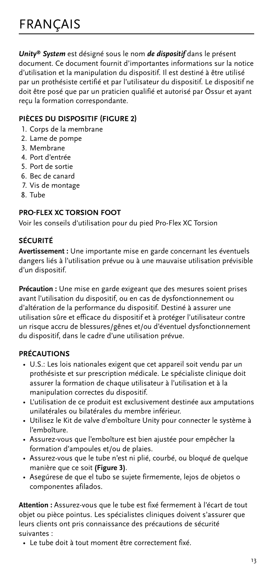<span id="page-12-0"></span>*Unity® System* est désigné sous le nom *de dispositif* dans le présent document. Ce document fournit d'importantes informations sur la notice d'utilisation et la manipulation du dispositif. Il est destiné à être utilisé par un prothésiste certifié et par l'utilisateur du dispositif. Le dispositif ne doit être posé que par un praticien qualifié et autorisé par Össur et ayant reçu la formation correspondante.

# **PIÈCES DU DISPOSITIF (FIGURE 2)**

- 1. Corps de la membrane
- 2. Lame de pompe
- 3. Membrane
- 4. Port d'entrée
- 5. Port de sortie
- 6. Bec de canard
- 7. Vis de montage
- 8. Tube

# **PRO-FLEX XC TORSION FOOT**

Voir les conseils d'utilisation pour du pied Pro-Flex XC Torsion

# **SÉCURITÉ**

**Avertissement :** Une importante mise en garde concernant les éventuels dangers liés à l'utilisation prévue ou à une mauvaise utilisation prévisible d'un dispositif.

**Précaution :** Une mise en garde exigeant que des mesures soient prises avant l'utilisation du dispositif, ou en cas de dysfonctionnement ou d'altération de la performance du dispositif. Destiné à assurer une utilisation sûre et efficace du dispositif et à protéger l'utilisateur contre un risque accru de blessures/gênes et/ou d'éventuel dysfonctionnement du dispositif, dans le cadre d'une utilisation prévue.

### **PRÉCAUTIONS**

- U.S.: Les lois nationales exigent que cet appareil soit vendu par un prothésiste et sur prescription médicale. Le spécialiste clinique doit assurer la formation de chaque utilisateur à l'utilisation et à la manipulation correctes du dispositif.
- L'utilisation de ce produit est exclusivement destinée aux amputations unilatérales ou bilatérales du membre inférieur.
- Utilisez le Kit de valve d'emboîture Unity pour connecter le système à l'emboîture.
- Assurez-vous que l'emboîture est bien ajustée pour empêcher la formation d'ampoules et/ou de plaies.
- Assurez-vous que le tube n'est ni plié, courbé, ou bloqué de quelque manière que ce soit **(Figure 3)**.
- Asegúrese de que el tubo se sujete firmemente, lejos de objetos o componentes afilados.

**Attention :** Assurez-vous que le tube est fixé fermement à l'écart de tout objet ou pièce pointus. Les spécialistes cliniques doivent s'assurer que leurs clients ont pris connaissance des précautions de sécurité suivantes :

• Le tube doit à tout moment être correctement fixé.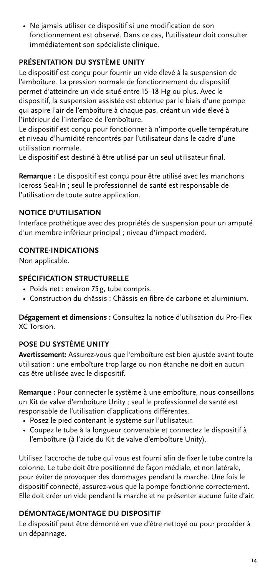• Ne jamais utiliser ce dispositif si une modification de son fonctionnement est observé. Dans ce cas, l'utilisateur doit consulter immédiatement son spécialiste clinique.

# **PRÉSENTATION DU SYSTÈME UNITY**

Le dispositif est conçu pour fournir un vide élevé à la suspension de l'emboîture. La pression normale de fonctionnement du dispositif permet d'atteindre un vide situé entre 15–18 Hg ou plus. Avec le dispositif, la suspension assistée est obtenue par le biais d'une pompe qui aspire l'air de l'emboîture à chaque pas, créant un vide élevé à l'intérieur de l'interface de l'emboîture.

Le dispositif est conçu pour fonctionner à n'importe quelle température et niveau d'humidité rencontrés par l'utilisateur dans le cadre d'une utilisation normale.

Le dispositif est destiné à être utilisé par un seul utilisateur final.

**Remarque :** Le dispositif est conçu pour être utilisé avec les manchons Iceross Seal-In ; seul le professionnel de santé est responsable de l'utilisation de toute autre application.

# **NOTICE D'UTILISATION**

Interface prothétique avec des propriétés de suspension pour un amputé d'un membre inférieur principal ; niveau d'impact modéré.

# **CONTRE-INDICATIONS**

Non applicable.

# **SPÉCIFICATION STRUCTURELLE**

- Poids net : environ 75g, tube compris.
- Construction du châssis : Châssis en fibre de carbone et aluminium.

**Dégagement et dimensions :** Consultez la notice d'utilisation du Pro-Flex XC Torsion.

# **POSE DU SYSTÈME UNITY**

**Avertissement:** Assurez-vous que l'emboîture est bien ajustée avant toute utilisation : une emboîture trop large ou non étanche ne doit en aucun cas être utilisée avec le dispositif.

**Remarque :** Pour connecter le système à une emboîture, nous conseillons un Kit de valve d'emboîture Unity ; seul le professionnel de santé est responsable de l'utilisation d'applications différentes.

- Posez le pied contenant le système sur l'utilisateur.
- Coupez le tube à la longueur convenable et connectez le dispositif à l'emboîture (à l'aide du Kit de valve d'emboîture Unity).

Utilisez l'accroche de tube qui vous est fourni afin de fixer le tube contre la colonne. Le tube doit être positionné de façon médiale, et non latérale, pour éviter de provoquer des dommages pendant la marche. Une fois le dispositif connecté, assurez-vous que la pompe fonctionne correctement. Elle doit créer un vide pendant la marche et ne présenter aucune fuite d'air.

# **DÉMONTAGE/MONTAGE DU DISPOSITIF**

Le dispositif peut être démonté en vue d'être nettoyé ou pour procéder à un dépannage.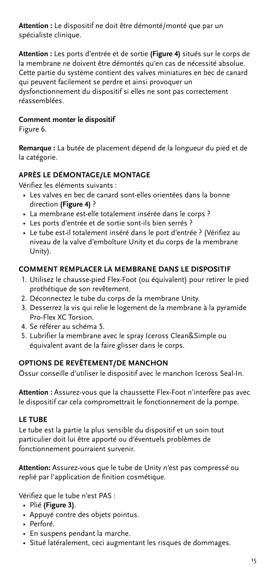**Attention :** Le dispositif ne doit être démonté/monté que par un spécialiste clinique.

**Attention :** Les ports d'entrée et de sortie **(Figure 4)** situés sur le corps de la membrane ne doivent être démontés qu'en cas de nécessité absolue. Cette partie du système contient des valves miniatures en bec de canard qui peuvent facilement se perdre et ainsi provoquer un dysfonctionnement du dispositif si elles ne sont pas correctement réassemblées.

# **Comment monter le dispositif**

Figure 6.

**Remarque :** La butée de placement dépend de la longueur du pied et de la catégorie.

# **APRÈS LE DÉMONTAGE/LE MONTAGE**

Vérifiez les éléments suivants :

- Les valves en bec de canard sont-elles orientées dans la bonne direction **(Figure 4)** ?
- La membrane est-elle totalement insérée dans le corps ?
- Les ports d'entrée et de sortie sont-ils bien serrés ?
- Le tube est-il totalement inséré dans le port d'entrée ? (Vérifiez au niveau de la valve d'emboîture Unity et du corps de la membrane Unity).

# **COMMENT REMPLACER LA MEMBRANE DANS LE DISPOSITIF**

- 1. Utilisez le chausse-pied Flex-Foot (ou équivalent) pour retirer le pied prothétique de son revêtement.
- 2. Déconnectez le tube du corps de la membrane Unity.
- 3. Desserrez la vis qui relie le logement de la membrane à la pyramide Pro-Flex XC Torsion.
- 4. Se référer au schéma 5.
- 5. Lubrifier la membrane avec le spray Iceross Clean&Simple ou équivalent avant de la faire glisser dans le corps.

### **OPTIONS DE REVÊTEMENT/DE MANCHON**

Össur conseille d'utiliser le dispositif avec le manchon Iceross Seal-In.

**Attention :** Assurez-vous que la chaussette Flex-Foot n'interfère pas avec le dispositif car cela compromettrait le fonctionnement de la pompe.

### **LE TUBE**

Le tube est la partie la plus sensible du dispositif et un soin tout particulier doit lui être apporté ou d'éventuels problèmes de fonctionnement pourraient survenir.

**Attention:** Assurez-vous que le tube de Unity n'est pas compressé ou replié par l'application de finition cosmétique.

Vérifiez que le tube n'est PAS :

- Plié **(Figure 3)**.
- Appuyé contre des objets pointus.
- Perforé.
- En suspens pendant la marche.
- Situé latéralement, ceci augmentant les risques de dommages.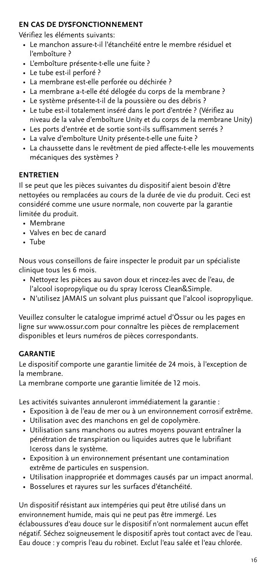# **EN CAS DE DYSFONCTIONNEMENT**

Vérifiez les éléments suivants:

- Le manchon assure-t-il l'étanchéité entre le membre résiduel et l'emboîture ?
- L'emboîture présente-t-elle une fuite ?
- Le tube est-il perforé ?
- La membrane est-elle perforée ou déchirée ?
- La membrane a-t-elle été délogée du corps de la membrane ?
- Le système présente-t-il de la poussière ou des débris ?
- Le tube est-il totalement inséré dans le port d'entrée ? (Vérifiez au niveau de la valve d'emboîture Unity et du corps de la membrane Unity)
- Les ports d'entrée et de sortie sont-ils suffisamment serrés ?
- La valve d'emboîture Unity présente-t-elle une fuite ?
- La chaussette dans le revêtment de pied affecte-t-elle les mouvements mécaniques des systèmes ?

# **ENTRETIEN**

Il se peut que les pièces suivantes du dispositif aient besoin d'être nettoyées ou remplacées au cours de la durée de vie du produit. Ceci est considéré comme une usure normale, non couverte par la garantie limitée du produit.

- Membrane
- Valves en bec de canard
- Tube

Nous vous conseillons de faire inspecter le produit par un spécialiste clinique tous les 6 mois.

- Nettoyez les pièces au savon doux et rincez-les avec de l'eau, de l'alcool isopropylique ou du spray Iceross Clean&Simple.
- N'utilisez JAMAIS un solvant plus puissant que l'alcool isopropylique.

Veuillez consulter le catalogue imprimé actuel d'Össur ou les pages en ligne sur www.ossur.com pour connaître les pièces de remplacement disponibles et leurs numéros de pièces correspondants.

# **GARANTIE**

Le dispositif comporte une garantie limitée de 24 mois, à l'exception de la membrane.

La membrane comporte une garantie limitée de 12 mois.

Les activités suivantes annuleront immédiatement la garantie :

- Exposition à de l'eau de mer ou à un environnement corrosif extrême.
- Utilisation avec des manchons en gel de copolymère.
- Utilisation sans manchons ou autres moyens pouvant entraîner la pénétration de transpiration ou liquides autres que le lubrifiant Iceross dans le système.
- Exposition à un environnement présentant une contamination extrême de particules en suspension.
- Utilisation inappropriée et dommages causés par un impact anormal.
- Bosselures et rayures sur les surfaces d'étanchéité.

Un dispositif résistant aux intempéries qui peut être utilisé dans un environnement humide, mais qui ne peut pas être immergé. Les éclaboussures d'eau douce sur le dispositif n'ont normalement aucun effet négatif. Séchez soigneusement le dispositif après tout contact avec de l'eau. Eau douce : y compris l'eau du robinet. Exclut l'eau salée et l'eau chlorée.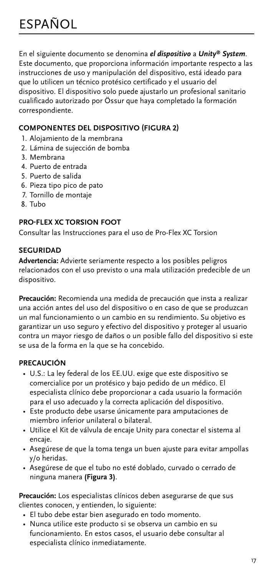<span id="page-16-0"></span>En el siguiente documento se denomina *el dispositivo* a *Unity® System*. Este documento, que proporciona información importante respecto a las instrucciones de uso y manipulación del dispositivo, está ideado para que lo utilicen un técnico protésico certificado y el usuario del dispositivo. El dispositivo solo puede ajustarlo un profesional sanitario cualificado autorizado por Össur que haya completado la formación correspondiente.

# **COMPONENTES DEL DISPOSITIVO (FIGURA 2)**

- 1. Alojamiento de la membrana
- 2. Lámina de sujección de bomba
- 3. Membrana
- 4. Puerto de entrada
- 5. Puerto de salida
- 6. Pieza tipo pico de pato
- 7. Tornillo de montaje
- 8. Tubo

# **PRO-FLEX XC TORSION FOOT**

Consultar las Instrucciones para el uso de Pro-Flex XC Torsion

# **SEGURIDAD**

**Advertencia:** Advierte seriamente respecto a los posibles peligros relacionados con el uso previsto o una mala utilización predecible de un dispositivo.

**Precaución:** Recomienda una medida de precaución que insta a realizar una acción antes del uso del dispositivo o en caso de que se produzcan un mal funcionamiento o un cambio en su rendimiento. Su objetivo es garantizar un uso seguro y efectivo del dispositivo y proteger al usuario contra un mayor riesgo de daños o un posible fallo del dispositivo si este se usa de la forma en la que se ha concebido.

# **PRECAUCIÓN**

- U.S.: La ley federal de los EE.UU. exige que este dispositivo se comercialice por un protésico y bajo pedido de un médico. El especialista clínico debe proporcionar a cada usuario la formación para el uso adecuado y la correcta aplicación del dispositivo.
- Este producto debe usarse únicamente para amputaciones de miembro inferior unilateral o bilateral.
- Utilice el Kit de válvula de encaje Unity para conectar el sistema al encaje.
- Asegúrese de que la toma tenga un buen ajuste para evitar ampollas y/o heridas.
- Asegúrese de que el tubo no esté doblado, curvado o cerrado de ninguna manera **(Figura 3)**.

**Precaución:** Los especialistas clínicos deben asegurarse de que sus clientes conocen, y entienden, lo siguiente:

- El tubo debe estar bien asegurado en todo momento.
- Nunca utilice este producto si se observa un cambio en su funcionamiento. En estos casos, el usuario debe consultar al especialista clínico inmediatamente.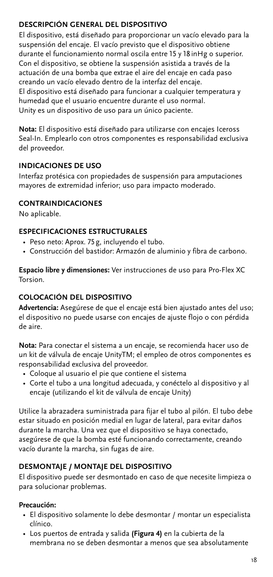# **DESCRIPCIÓN GENERAL DEL DISPOSITIVO**

El dispositivo, está diseñado para proporcionar un vacío elevado para la suspensión del encaje. El vacío previsto que el dispositivo obtiene durante el funcionamiento normal oscila entre 15 y 18inHg o superior. Con el dispositivo, se obtiene la suspensión asistida a través de la actuación de una bomba que extrae el aire del encaje en cada paso creando un vacío elevado dentro de la interfaz del encaje. El dispositivo está diseñado para funcionar a cualquier temperatura y humedad que el usuario encuentre durante el uso normal. Unity es un dispositivo de uso para un único paciente.

**Nota:** El dispositivo está diseñado para utilizarse con encajes Iceross Seal-In. Emplearlo con otros componentes es responsabilidad exclusiva del proveedor.

# **INDICACIONES DE USO**

Interfaz protésica con propiedades de suspensión para amputaciones mayores de extremidad inferior; uso para impacto moderado.

# **CONTRAINDICACIONES**

No aplicable.

# **ESPECIFICACIONES ESTRUCTURALES**

- Peso neto: Aprox. 75g, incluyendo el tubo.
- Construcción del bastidor: Armazón de aluminio y fibra de carbono.

**Espacio libre y dimensiones:** Ver instrucciones de uso para Pro-Flex XC Torsion.

# **COLOCACIÓN DEL DISPOSITIVO**

**Advertencia:** Asegúrese de que el encaje está bien ajustado antes del uso; el dispositivo no puede usarse con encajes de ajuste flojo o con pérdida de aire.

**Nota:** Para conectar el sistema a un encaje, se recomienda hacer uso de un kit de válvula de encaje UnityTM; el empleo de otros componentes es responsabilidad exclusiva del proveedor.

- Coloque al usuario el pie que contiene el sistema
- Corte el tubo a una longitud adecuada, y conéctelo al dispositivo y al encaje (utilizando el kit de válvula de encaje Unity)

Utilice la abrazadera suministrada para fijar el tubo al pilón. El tubo debe estar situado en posición medial en lugar de lateral, para evitar daños durante la marcha. Una vez que el dispositivo se haya conectado, asegúrese de que la bomba esté funcionando correctamente, creando vacío durante la marcha, sin fugas de aire.

# **DESMONTAJE / MONTAJE DEL DISPOSITIVO**

El dispositivo puede ser desmontado en caso de que necesite limpieza o para solucionar problemas.

# **Precaución:**

- El dispositivo solamente lo debe desmontar / montar un especialista clínico.
- Los puertos de entrada y salida **(Figura 4)** en la cubierta de la membrana no se deben desmontar a menos que sea absolutamente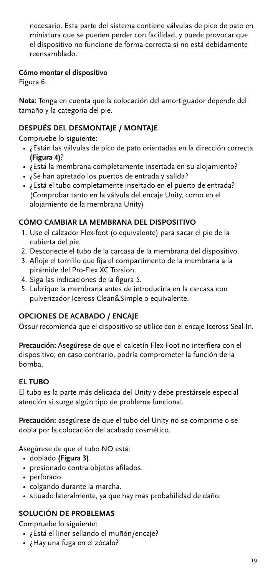necesario. Esta parte del sistema contiene válvulas de pico de pato en miniatura que se pueden perder con facilidad, y puede provocar que el dispositivo no funcione de forma correcta si no está debidamente reensamblado.

# **Cómo montar el dispositivo**

Figura 6.

**Nota:** Tenga en cuenta que la colocación del amortiguador depende del tamaño y la categoría del pie.

# **DESPUÉS DEL DESMONTAJE / MONTAJE**

Compruebe lo siguiente:

- ¿Están las válvulas de pico de pato orientadas en la dirección correcta **(Figura 4)**?
- ¿Está la membrana completamente insertada en su alojamiento?
- ¿Se han apretado los puertos de entrada y salida?
- ¿Está el tubo completamente insertado en el puerto de entrada? (Comprobar tanto en la válvula del encaje Unity, como en el alojamiento de la membrana Unity)

# **CÓMO CAMBIAR LA MEMBRANA DEL DISPOSITIVO**

- 1. Use el calzador Flex-foot (o equivalente) para sacar el pie de la cubierta del pie.
- 2. Desconecte el tubo de la carcasa de la membrana del dispositivo.
- 3. Afloje el tornillo que fija el compartimento de la membrana a la pirámide del Pro-Flex XC Torsion.
- 4. Siga las indicaciones de la figura 5.
- 5. Lubrique la membrana antes de introducirla en la carcasa con pulverizador Iceross Clean&Simple o equivalente.

# **OPCIONES DE ACABADO / ENCAJE**

Össur recomienda que el dispositivo se utilice con el encaje Iceross Seal-In.

**Precaución:** Asegúrese de que el calcetín Flex-Foot no interfiera con el dispositivo; en caso contrario, podría comprometer la función de la bomba.

# **EL TUBO**

El tubo es la parte más delicada del Unity y debe prestársele especial atención si surge algún tipo de problema funcional.

**Precaución:** asegúrese de que el tubo del Unity no se comprime o se dobla por la colocación del acabado cosmético.

Asegúrese de que el tubo NO está:

- doblado **(Figura 3)**.
- presionado contra objetos afilados.
- perforado.
- colgando durante la marcha.
- situado lateralmente, ya que hay más probabilidad de daño.

# **SOLUCIÓN DE PROBLEMAS**

Compruebe lo siguiente:

- ¿Está el liner sellando el muñón/encaje?
- ¿Hay una fuga en el zócalo?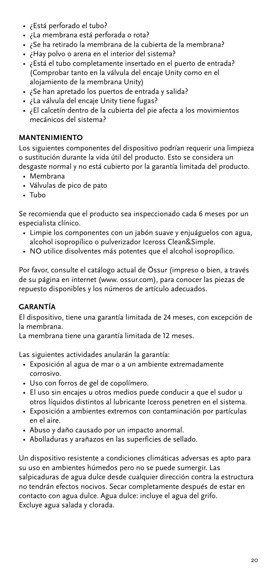- ¿Está perforado el tubo?
- ¿La membrana está perforada o rota?
- ¿Se ha retirado la membrana de la cubierta de la membrana?
- ¿Hay polvo o arena en el interior del sistema?
- ¿Está el tubo completamente insertado en el puerto de entrada? (Comprobar tanto en la válvula del encaje Unity como en el alojamiento de la membrana Unity)
- ¿Se han apretado los puertos de entrada y salida?
- ¿La válvula del encaje Unity tiene fugas?
- ¿El calcetín dentro de la cubierta del pie afecta a los movimientos mecánicos del sistema?

# **MANTENIMIENTO**

Los siguientes componentes del dispositivo podrían requerir una limpieza o sustitución durante la vida útil del producto. Esto se considera un desgaste normal y no está cubierto por la garantía limitada del producto.

- Membrana
- Válvulas de pico de pato
- Tubo

Se recomienda que el producto sea inspeccionado cada 6 meses por un especialista clínico.

- Limpie los componentes con un jabón suave y enjuáguelos con agua, alcohol isopropílico o pulverizador Iceross Clean&Simple.
- NO utilice disolventes más potentes que el alcohol isopropílico.

Por favor, consulte el catálogo actual de Össur (impreso o bien, a través de su página en internet (www. ossur.com), para conocer las piezas de repuesto disponibles y los números de artículo adecuados.

# **GARANTÍA**

El dispositivo, tiene una garantía limitada de 24 meses, con excepción de la membrana.

La membrana tiene una garantía limitada de 12 meses.

Las siguientes actividades anularán la garantía:

- Exposición al agua de mar o a un ambiente extremadamente corrosivo.
- Uso con forros de gel de copolímero.
- El uso sin encajes u otros medios puede conducir a que el sudor u otros líquidos distintos al lubricante Iceross penetren en el sistema.
- Exposición a ambientes extremos con contaminación por partículas en el aire.
- Abuso y daño causado por un impacto anormal.
- Abolladuras y arañazos en las superficies de sellado.

Un dispositivo resistente a condiciones climáticas adversas es apto para su uso en ambientes húmedos pero no se puede sumergir. Las salpicaduras de agua dulce desde cualquier dirección contra la estructura no tendrán efectos nocivos. Secar completamente después de estar en contacto con agua dulce. Agua dulce: incluye el agua del grifo. Excluye agua salada y clorada.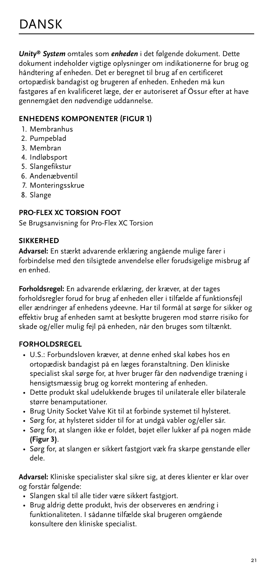<span id="page-20-0"></span>*Unity® System* omtales som *enheden* i det følgende dokument. Dette dokument indeholder vigtige oplysninger om indikationerne for brug og håndtering af enheden. Det er beregnet til brug af en certificeret ortopædisk bandagist og brugeren af enheden. Enheden må kun fastgøres af en kvalificeret læge, der er autoriseret af Össur efter at have gennemgået den nødvendige uddannelse.

# **ENHEDENS KOMPONENTER (FIGUR 1)**

- 1. Membranhus
- 2. Pumpeblad
- 3. Membran
- 4. Indløbsport
- 5. Slangefikstur
- 6. Andenæbventil
- 7. Monteringsskrue
- 8. Slange

# **PRO-FLEX XC TORSION FOOT**

Se Brugsanvisning for Pro-Flex XC Torsion

# **SIKKERHED**

**Advarsel:** En stærkt advarende erklæring angående mulige farer i forbindelse med den tilsigtede anvendelse eller forudsigelige misbrug af en enhed.

**Forholdsregel:** En advarende erklæring, der kræver, at der tages forholdsregler forud for brug af enheden eller i tilfælde af funktionsfejl eller ændringer af enhedens ydeevne. Har til formål at sørge for sikker og effektiv brug af enheden samt at beskytte brugeren mod større risiko for skade og/eller mulig fejl på enheden, når den bruges som tiltænkt.

# **FORHOLDSREGEL**

- U.S.: Forbundsloven kræver, at denne enhed skal købes hos en ortopædisk bandagist på en læges foranstaltning. Den kliniske specialist skal sørge for, at hver bruger får den nødvendige træning i hensigtsmæssig brug og korrekt montering af enheden.
- Dette produkt skal udelukkende bruges til unilaterale eller bilaterale større benamputationer.
- Brug Unity Socket Valve Kit til at forbinde systemet til hylsteret.
- Sørg for, at hylsteret sidder til for at undgå vabler og/eller sår.
- Sørg for, at slangen ikke er foldet, bøjet eller lukker af på nogen måde **(Figur 3)**.
- Sørg for, at slangen er sikkert fastgjort væk fra skarpe genstande eller dele.

**Advarsel:** Kliniske specialister skal sikre sig, at deres klienter er klar over og forstår følgende:

- Slangen skal til alle tider være sikkert fastgjort.
- Brug aldrig dette produkt, hvis der observeres en ændring i funktionaliteten. I sådanne tilfælde skal brugeren omgående konsultere den kliniske specialist.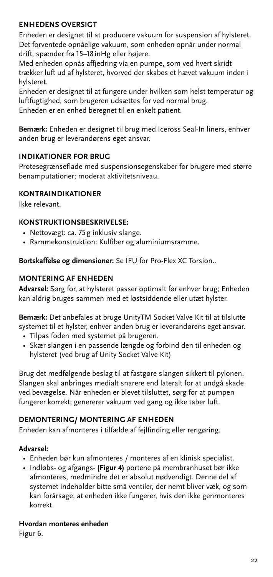# **ENHEDENS OVERSIGT**

Enheden er designet til at producere vakuum for suspension af hylsteret. Det forventede opnåelige vakuum, som enheden opnår under normal drift, spænder fra 15–18 inHg eller højere.

Med enheden opnås affjedring via en pumpe, som ved hvert skridt trækker luft ud af hylsteret, hvorved der skabes et hævet vakuum inden i hylsteret.

Enheden er designet til at fungere under hvilken som helst temperatur og luftfugtighed, som brugeren udsættes for ved normal brug. Enheden er en enhed beregnet til en enkelt patient.

**Bemærk:** Enheden er designet til brug med Iceross Seal-In liners, enhver anden brug er leverandørens eget ansvar.

# **INDIKATIONER FOR BRUG**

Protesegrænseflade med suspensionsegenskaber for brugere med større benamputationer; moderat aktivitetsniveau.

### **KONTRAINDIKATIONER**

Ikke relevant.

# **KONSTRUKTIONSBESKRIVELSE:**

- Nettovægt: ca. 75g inklusiv slange.
- Rammekonstruktion: Kulfiber og aluminiumsramme.

**Bortskaffelse og dimensioner:** Se IFU for Pro-Flex XC Torsion..

# **MONTERING AF ENHEDEN**

**Advarsel:** Sørg for, at hylsteret passer optimalt før enhver brug; Enheden kan aldrig bruges sammen med et løstsiddende eller utæt hylster.

**Bemærk:** Det anbefales at bruge UnityTM Socket Valve Kit til at tilslutte systemet til et hylster, enhver anden brug er leverandørens eget ansvar.

- Tilpas foden med systemet på brugeren.
- Skær slangen i en passende længde og forbind den til enheden og hylsteret (ved brug af Unity Socket Valve Kit)

Brug det medfølgende beslag til at fastgøre slangen sikkert til pylonen. Slangen skal anbringes medialt snarere end lateralt for at undgå skade ved bevægelse. Når enheden er blevet tilsluttet, sørg for at pumpen fungerer korrekt; genererer vakuum ved gang og ikke taber luft.

### **DEMONTERING/ MONTERING AF ENHEDEN**

Enheden kan afmonteres i tilfælde af fejlfinding eller rengøring.

### **Advarsel:**

- Enheden bør kun afmonteres / monteres af en klinisk specialist.
- Indløbs- og afgangs- **(Figur 4)** portene på membranhuset bør ikke afmonteres, medmindre det er absolut nødvendigt. Denne del af systemet indeholder bitte små ventiler, der nemt bliver væk, og som kan forårsage, at enheden ikke fungerer, hvis den ikke genmonteres korrekt.

**Hvordan monteres enheden**

Figur 6.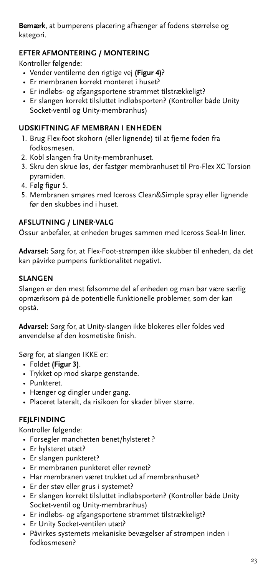**Bemærk**, at bumperens placering afhænger af fodens størrelse og kategori.

# **EFTER AFMONTERING / MONTERING**

Kontroller følgende:

- Vender ventilerne den rigtige vej **(Figur 4)**?
- Er membranen korrekt monteret i huset?
- Er indløbs- og afgangsportene strammet tilstrækkeligt?
- Er slangen korrekt tilsluttet indløbsporten? (Kontroller både Unity Socket-ventil og Unity-membranhus)

# **UDSKIFTNING AF MEMBRAN I ENHEDEN**

- 1. Brug Flex-foot skohorn (eller lignende) til at fjerne foden fra fodkosmesen.
- 2. Kobl slangen fra Unity-membranhuset.
- 3. Skru den skrue løs, der fastgør membranhuset til Pro-Flex XC Torsion pyramiden.
- 4. Følg figur 5.
- 5. Membranen smøres med Iceross Clean&Simple spray eller lignende før den skubbes ind i huset.

# **AFSLUTNING / LINER-VALG**

Össur anbefaler, at enheden bruges sammen med Iceross Seal-In liner.

**Advarsel:** Sørg for, at Flex-Foot-strømpen ikke skubber til enheden, da det kan påvirke pumpens funktionalitet negativt.

# **SLANGEN**

Slangen er den mest følsomme del af enheden og man bør være særlig opmærksom på de potentielle funktionelle problemer, som der kan opstå.

**Advarsel:** Sørg for, at Unity-slangen ikke blokeres eller foldes ved anvendelse af den kosmetiske finish.

Sørg for, at slangen IKKE er:

- Foldet **(Figur 3)**.
- Trykket op mod skarpe genstande.
- Punkteret.
- Hænger og dingler under gang.
- Placeret lateralt, da risikoen for skader bliver større.

# **FEJLFINDING**

Kontroller følgende:

- Forsegler manchetten benet/hylsteret ?
- Er hylsteret utæt?
- Er slangen punkteret?
- Er membranen punkteret eller revnet?
- Har membranen været trukket ud af membranhuset?
- Er der støv eller grus i systemet?
- Er slangen korrekt tilsluttet indløbsporten? (Kontroller både Unity Socket-ventil og Unity-membranhus)
- Er indløbs- og afgangsportene strammet tilstrækkeligt?
- Er Unity Socket-ventilen utæt?
- Påvirkes systemets mekaniske bevægelser af strømpen inden i fodkosmesen?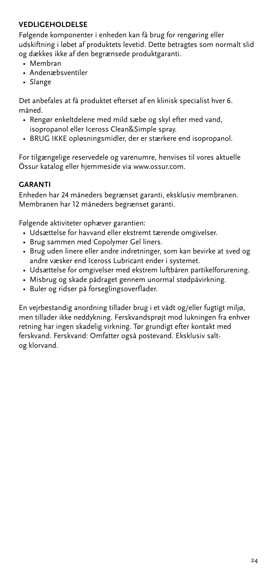# **VEDLIGEHOLDELSE**

Følgende komponenter i enheden kan få brug for rengøring eller udskiftning i løbet af produktets levetid. Dette betragtes som normalt slid og dækkes ikke af den begrænsede produktgaranti.

- Membran
- Andenæbsventiler
- Slange

Det anbefales at få produktet efterset af en klinisk specialist hver 6. måned.

- Rengør enkeltdelene med mild sæbe og skyl efter med vand, isopropanol eller Iceross Clean&Simple spray.
- BRUG IKKE opløsningsmidler, der er stærkere end isopropanol.

For tilgængelige reservedele og varenumre, henvises til vores aktuelle Össur katalog eller hjemmeside via www.ossur.com.

### **GARANTI**

Enheden har 24 måneders begrænset garanti, eksklusiv membranen. Membranen har 12 måneders begrænset garanti.

Følgende aktiviteter ophæver garantien:

- Udsættelse for havvand eller ekstremt tærende omgivelser.
- Brug sammen med Copolymer Gel liners.
- Brug uden linere eller andre indretninger, som kan bevirke at sved og andre væsker end Iceross Lubricant ender i systemet.
- Udsættelse for omgivelser med ekstrem luftbåren partikelforurening.
- Misbrug og skade pådraget gennem unormal stødpåvirkning.
- Buler og ridser på forseglingsoverflader.

En vejrbestandig anordning tillader brug i et vådt og/eller fugtigt miljø, men tillader ikke neddykning. Ferskvandsprøjt mod lukningen fra enhver retning har ingen skadelig virkning. Tør grundigt efter kontakt med ferskvand. Ferskvand: Omfatter også postevand. Eksklusiv saltog klorvand.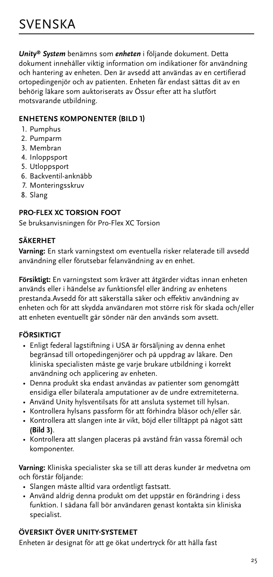<span id="page-24-0"></span>*Unity® System* benämns som *enheten* i följande dokument. Detta dokument innehåller viktig information om indikationer för användning och hantering av enheten. Den är avsedd att användas av en certifierad ortopedingenjör och av patienten. Enheten får endast sättas dit av en behörig läkare som auktoriserats av Össur efter att ha slutfört motsvarande utbildning.

# **ENHETENS KOMPONENTER (BILD 1)**

- 1. Pumphus
- 2. Pumparm
- 3. Membran
- 4. Inloppsport
- 5. Utloppsport
- 6. Backventil-anknäbb
- 7. Monteringsskruv
- 8. Slang

# **PRO-FLEX XC TORSION FOOT**

Se bruksanvisningen för Pro-Flex XC Torsion

# **SÄKERHET**

**Varning:** En stark varningstext om eventuella risker relaterade till avsedd användning eller förutsebar felanvändning av en enhet.

**Försiktigt:** En varningstext som kräver att åtgärder vidtas innan enheten används eller i händelse av funktionsfel eller ändring av enhetens prestanda.Avsedd för att säkerställa säker och effektiv användning av enheten och för att skydda användaren mot större risk för skada och/eller att enheten eventuellt går sönder när den används som avsett.

# **FÖRSIKTIGT**

- Enligt federal lagstiftning i USA är försäljning av denna enhet begränsad till ortopedingenjörer och på uppdrag av läkare. Den kliniska specialisten måste ge varje brukare utbildning i korrekt användning och applicering av enheten.
- Denna produkt ska endast användas av patienter som genomgått ensidiga eller bilaterala amputationer av de undre extremiteterna.
- Använd Unity hylsventilsats för att ansluta systemet till hylsan.
- Kontrollera hylsans passform för att förhindra blåsor och/eller sår.
- Kontrollera att slangen inte är vikt, böjd eller tilltäppt på något sätt **(Bild 3)**.
- Kontrollera att slangen placeras på avstånd från vassa föremål och komponenter.

**Varning:** Kliniska specialister ska se till att deras kunder är medvetna om och förstår följande:

- Slangen måste alltid vara ordentligt fastsatt.
- Använd aldrig denna produkt om det uppstår en förändring i dess funktion. I sådana fall bör användaren genast kontakta sin kliniska specialist.

# **ÖVERSIKT ÖVER UNITY-SYSTEMET**

Enheten är designat för att ge ökat undertryck för att hålla fast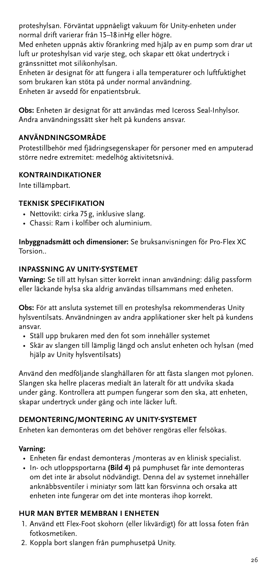proteshylsan. Förväntat uppnåeligt vakuum för Unity-enheten under normal drift varierar från 15–18 inHg eller högre.

Med enheten uppnås aktiv förankring med hjälp av en pump som drar ut luft ur proteshylsan vid varje steg, och skapar ett ökat undertryck i gränssnittet mot silikonhylsan.

Enheten är designat för att fungera i alla temperaturer och luftfuktighet som brukaren kan stöta på under normal användning. Enheten är avsedd för enpatientsbruk.

**Obs:** Enheten är designat för att användas med Iceross Seal-Inhylsor. Andra användningssätt sker helt på kundens ansvar.

# **ANVÄNDNINGSOMRÅDE**

Protestillbehör med fjädringsegenskaper för personer med en amputerad större nedre extremitet: medelhög aktivitetsnivå.

# **KONTRAINDIKATIONER**

Inte tillämpbart.

# **TEKNISK SPECIFIKATION**

- Nettovikt: cirka 75g, inklusive slang.
- Chassi: Ram i kolfiber och aluminium.

**Inbyggnadsmått och dimensioner:** Se bruksanvisningen för Pro-Flex XC Torsion..

### **INPASSNING AV UNITY-SYSTEMET**

**Varning:** Se till att hylsan sitter korrekt innan användning: dålig passform eller läckande hylsa ska aldrig användas tillsammans med enheten.

**Obs:** För att ansluta systemet till en proteshylsa rekommenderas Unity hylsventilsats. Användningen av andra applikationer sker helt på kundens ansvar.

- Ställ upp brukaren med den fot som innehåller systemet
- Skär av slangen till lämplig längd och anslut enheten och hylsan (med hjälp av Unity hylsventilsats)

Använd den medföljande slanghållaren för att fästa slangen mot pylonen. Slangen ska hellre placeras medialt än lateralt för att undvika skada under gång. Kontrollera att pumpen fungerar som den ska, att enheten, skapar undertryck under gång och inte läcker luft.

### **DEMONTERING/MONTERING AV UNITY-SYSTEMET**

Enheten kan demonteras om det behöver rengöras eller felsökas.

### **Varning:**

- Enheten får endast demonteras /monteras av en klinisk specialist.
- In- och utloppsportarna **(Bild 4)** på pumphuset får inte demonteras om det inte är absolut nödvändigt. Denna del av systemet innehåller anknäbbsventiler i miniatyr som lätt kan försvinna och orsaka att enheten inte fungerar om det inte monteras ihop korrekt.

### **HUR MAN BYTER MEMBRAN I ENHETEN**

- 1. Använd ett Flex-Foot skohorn (eller likvärdigt) för att lossa foten från fotkosmetiken.
- 2. Koppla bort slangen från pumphusetpå Unity.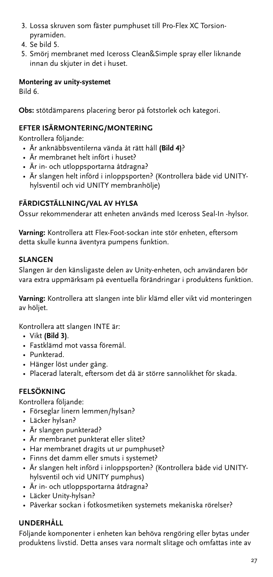- 3. Lossa skruven som fäster pumphuset till Pro-Flex XC Torsionpyramiden.
- 4. Se bild 5.
- 5. Smörj membranet med Iceross Clean&Simple spray eller liknande innan du skjuter in det i huset.

# **Montering av unity-systemet**

Bild 6.

**Obs:** stötdämparens placering beror på fotstorlek och kategori.

# **EFTER ISÄRMONTERING/MONTERING**

Kontrollera följande:

- Är anknäbbsventilerna vända åt rätt håll **(Bild 4)**?
- Är membranet helt infört i huset?
- Är in- och utloppsportarna åtdragna?
- Är slangen helt införd i inloppsporten? (Kontrollera både vid UNITYhylsventil och vid UNITY membranhölje)

# **FÄRDIGSTÄLLNING/VAL AV HYLSA**

Össur rekommenderar att enheten används med Iceross Seal-In -hylsor.

**Varning:** Kontrollera att Flex-Foot-sockan inte stör enheten, eftersom detta skulle kunna äventyra pumpens funktion.

# **SLANGEN**

Slangen är den känsligaste delen av Unity-enheten, och användaren bör vara extra uppmärksam på eventuella förändringar i produktens funktion.

**Varning:** Kontrollera att slangen inte blir klämd eller vikt vid monteringen av höljet.

Kontrollera att slangen INTE är:

- Vikt **(Bild 3)**.
- Fastklämd mot vassa föremål.
- Punkterad.
- Hänger löst under gång.
- Placerad lateralt, eftersom det då är större sannolikhet för skada.

# **FELSÖKNING**

Kontrollera följande:

- Förseglar linern lemmen/hylsan?
- Läcker hylsan?
- Är slangen punkterad?
- Är membranet punkterat eller slitet?
- Har membranet dragits ut ur pumphuset?
- Finns det damm eller smuts i systemet?
- Är slangen helt införd i inloppsporten? (Kontrollera både vid UNITYhylsventil och vid UNITY pumphus)
- Är in- och utloppsportarna åtdragna?
- Läcker Unity-hylsan?
- Påverkar sockan i fotkosmetiken systemets mekaniska rörelser?

# **UNDERHÅLL**

Följande komponenter i enheten kan behöva rengöring eller bytas under produktens livstid. Detta anses vara normalt slitage och omfattas inte av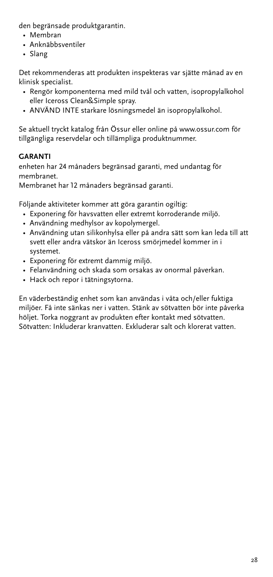den begränsade produktgarantin.

- Membran
- Anknäbbsventiler
- Slang

Det rekommenderas att produkten inspekteras var sjätte månad av en klinisk specialist.

- Rengör komponenterna med mild tvål och vatten, isopropylalkohol eller Iceross Clean&Simple spray.
- ANVÄND INTE starkare lösningsmedel än isopropylalkohol.

Se aktuell tryckt katalog från Össur eller online på www.ossur.com för tillgängliga reservdelar och tillämpliga produktnummer.

# **GARANTI**

enheten har 24 månaders begränsad garanti, med undantag för membranet.

Membranet har 12 månaders begränsad garanti.

Följande aktiviteter kommer att göra garantin ogiltig:

- Exponering för havsvatten eller extremt korroderande miljö.
- Användning medhylsor av kopolymergel.
- Användning utan silikonhylsa eller på andra sätt som kan leda till att svett eller andra vätskor än Iceross smörjmedel kommer in i systemet.
- Exponering för extremt dammig miljö.
- Felanvändning och skada som orsakas av onormal påverkan.
- Hack och repor i tätningsytorna.

En väderbeständig enhet som kan användas i våta och/eller fuktiga miljöer. Få inte sänkas ner i vatten. Stänk av sötvatten bör inte påverka höljet. Torka noggrant av produkten efter kontakt med sötvatten. Sötvatten: Inkluderar kranvatten. Exkluderar salt och klorerat vatten.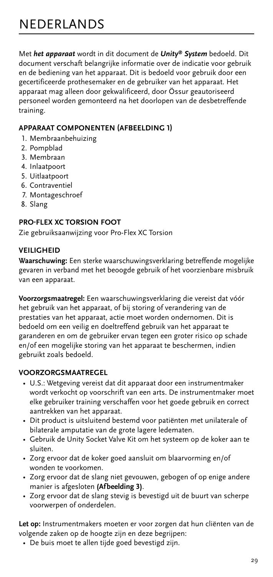<span id="page-28-0"></span>Met *het apparaat* wordt in dit document de *Unity® System* bedoeld. Dit document verschaft belangrijke informatie over de indicatie voor gebruik en de bediening van het apparaat. Dit is bedoeld voor gebruik door een gecertificeerde prothesemaker en de gebruiker van het apparaat. Het apparaat mag alleen door gekwalificeerd, door Össur geautoriseerd personeel worden gemonteerd na het doorlopen van de desbetreffende training.

# **APPARAAT COMPONENTEN (AFBEELDING 1)**

- 1. Membraanbehuizing
- 2. Pompblad
- 3. Membraan
- 4. Inlaatpoort
- 5. Uitlaatpoort
- 6. Contraventiel
- 7. Montageschroef
- 8. Slang

# **PRO-FLEX XC TORSION FOOT**

Zie gebruiksaanwijzing voor Pro-Flex XC Torsion

### **VEILIGHEID**

**Waarschuwing:** Een sterke waarschuwingsverklaring betreffende mogelijke gevaren in verband met het beoogde gebruik of het voorzienbare misbruik van een apparaat.

**Voorzorgsmaatregel:** Een waarschuwingsverklaring die vereist dat vóór het gebruik van het apparaat, of bij storing of verandering van de prestaties van het apparaat, actie moet worden ondernomen. Dit is bedoeld om een veilig en doeltreffend gebruik van het apparaat te garanderen en om de gebruiker ervan tegen een groter risico op schade en/of een mogelijke storing van het apparaat te beschermen, indien gebruikt zoals bedoeld.

### **VOORZORGSMAATREGEL**

- U.S.: Wetgeving vereist dat dit apparaat door een instrumentmaker wordt verkocht op voorschrift van een arts. De instrumentmaker moet elke gebruiker training verschaffen voor het goede gebruik en correct aantrekken van het apparaat.
- Dit product is uitsluitend bestemd voor patiënten met unilaterale of bilaterale amputatie van de grote lagere ledematen.
- Gebruik de Unity Socket Valve Kit om het systeem op de koker aan te sluiten.
- Zorg ervoor dat de koker goed aansluit om blaarvorming en/of wonden te voorkomen.
- Zorg ervoor dat de slang niet gevouwen, gebogen of op enige andere manier is afgesloten **(Afbeelding 3)**.
- Zorg ervoor dat de slang stevig is bevestigd uit de buurt van scherpe voorwerpen of onderdelen.

**Let op:** Instrumentmakers moeten er voor zorgen dat hun cliënten van de volgende zaken op de hoogte zijn en deze begrijpen:

• De buis moet te allen tijde goed bevestigd zijn.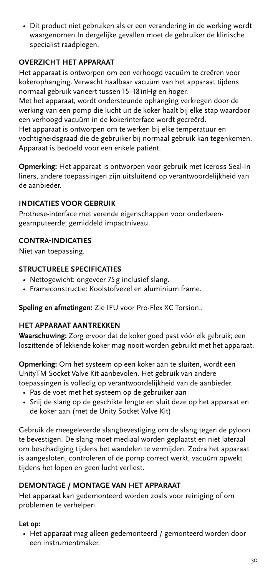• Dit product niet gebruiken als er een verandering in de werking wordt waargenomen.In dergelijke gevallen moet de gebruiker de klinische specialist raadplegen.

# **OVERZICHT HET APPARAAT**

Het apparaat is ontworpen om een verhoogd vacuüm te creëren voor kokerophanging. Verwacht haalbaar vacuüm van het apparaat tijdens normaal gebruik varieert tussen 15–18 inHg en hoger.

Met het apparaat, wordt ondersteunde ophanging verkregen door de werking van een pomp die lucht uit de koker haalt bij elke stap waardoor een verhoogd vacuüm in de kokerinterface wordt gecreërd.

Het apparaat is ontworpen om te werken bij elke temperatuur en vochtigheidsgraad die de gebruiker bij normaal gebruik kan tegenkomen. Apparaat is bedoeld voor een enkele patiënt.

**Opmerking:** Het apparaat is ontworpen voor gebruik met Iceross Seal-In liners, andere toepassingen zijn uitsluitend op verantwoordelijkheid van de aanbieder.

### **INDICATIES VOOR GEBRUIK**

Prothese-interface met verende eigenschappen voor onderbeengeamputeerde; gemiddeld impactniveau.

#### **CONTRA-INDICATIES**

Niet van toepassing.

#### **STRUCTURELE SPECIFICATIES**

- Nettogewicht: ongeveer 75g inclusief slang.
- Frameconstructie: Koolstofvezel en aluminium frame.

**Speling en afmetingen:** Zie IFU voor Pro-Flex XC Torsion..

### **HET APPARAAT AANTREKKEN**

**Waarschuwing:** Zorg ervoor dat de koker goed past vóór elk gebruik; een loszittende of lekkende koker mag nooit worden gebruikt met het apparaat.

**Opmerking:** Om het systeem op een koker aan te sluiten, wordt een UnityTM Socket Valve Kit aanbevolen. Het gebruik van andere toepassingen is volledig op verantwoordelijkheid van de aanbieder.

- Pas de voet met het systeem op de gebruiker aan
- Snij de slang op de geschikte lengte en sluit deze op het apparaat en de koker aan (met de Unity Socket Valve Kit)

Gebruik de meegeleverde slangbevestiging om de slang tegen de pyloon te bevestigen. De slang moet mediaal worden geplaatst en niet lateraal om beschadiging tijdens het wandelen te vermijden. Zodra het apparaat is aangesloten, controleren of de pomp correct werkt, vacuüm opwekt tijdens het lopen en geen lucht verliest.

## **DEMONTAGE / MONTAGE VAN HET APPARAAT**

Het apparaat kan gedemonteerd worden zoals voor reiniging of om problemen te verhelpen.

#### **Let op:**

• Het apparaat mag alleen gedemonteerd / gemonteerd worden door een instrumentmaker.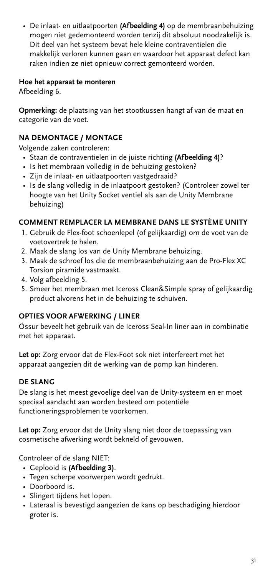• De inlaat- en uitlaatpoorten **(Afbeelding 4)** op de membraanbehuizing mogen niet gedemonteerd worden tenzij dit absoluut noodzakelijk is. Dit deel van het systeem bevat hele kleine contraventielen die makkelijk verloren kunnen gaan en waardoor het apparaat defect kan raken indien ze niet opnieuw correct gemonteerd worden.

### **Hoe het apparaat te monteren**

Afbeelding 6.

**Opmerking:** de plaatsing van het stootkussen hangt af van de maat en categorie van de voet.

# **NA DEMONTAGE / MONTAGE**

Volgende zaken controleren:

- Staan de contraventielen in de juiste richting **(Afbeelding 4)**?
- Is het membraan volledig in de behuizing gestoken?
- Zijn de inlaat- en uitlaatpoorten vastgedraaid?
- Is de slang volledig in de inlaatpoort gestoken? (Controleer zowel ter hoogte van het Unity Socket ventiel als aan de Unity Membrane behuizing)

# **COMMENT REMPLACER LA MEMBRANE DANS LE SYSTÈME UNITY**

- 1. Gebruik de Flex-foot schoenlepel (of gelijkaardig) om de voet van de voetovertrek te halen.
- 2. Maak de slang los van de Unity Membrane behuizing.
- 3. Maak de schroef los die de membraanbehuizing aan de Pro-Flex XC Torsion piramide vastmaakt.
- 4. Volg afbeelding 5.
- 5. Smeer het membraan met Iceross Clean&Simple spray of gelijkaardig product alvorens het in de behuizing te schuiven.

#### **OPTIES VOOR AFWERKING / LINER**

Össur beveelt het gebruik van de Iceross Seal-In liner aan in combinatie met het apparaat.

**Let op:** Zorg ervoor dat de Flex-Foot sok niet interfereert met het apparaat aangezien dit de werking van de pomp kan hinderen.

# **DE SLANG**

De slang is het meest gevoelige deel van de Unity-systeem en er moet speciaal aandacht aan worden besteed om potentiële functioneringsproblemen te voorkomen.

**Let op:** Zorg ervoor dat de Unity slang niet door de toepassing van cosmetische afwerking wordt bekneld of gevouwen.

Controleer of de slang NIET:

- Geplooid is **(Afbeelding 3)**.
- Tegen scherpe voorwerpen wordt gedrukt.
- Doorboord is.
- Slingert tijdens het lopen.
- Lateraal is bevestigd aangezien de kans op beschadiging hierdoor groter is.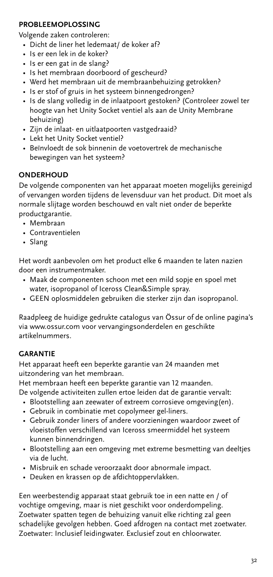# **PROBLEEMOPLOSSING**

Volgende zaken controleren:

- Dicht de liner het ledemaat/ de koker af?
- Is er een lek in de koker?
- Is er een gat in de slang?
- Is het membraan doorboord of gescheurd?
- Werd het membraan uit de membraanbehuizing getrokken?
- Is er stof of gruis in het systeem binnengedrongen?
- Is de slang volledig in de inlaatpoort gestoken? (Controleer zowel ter hoogte van het Unity Socket ventiel als aan de Unity Membrane behuizing)
- Zijn de inlaat- en uitlaatpoorten vastgedraaid?
- Lekt het Unity Socket ventiel?
- Beïnvloedt de sok binnenin de voetovertrek de mechanische bewegingen van het systeem?

# **ONDERHOUD**

De volgende componenten van het apparaat moeten mogelijks gereinigd of vervangen worden tijdens de levensduur van het product. Dit moet als normale slijtage worden beschouwd en valt niet onder de beperkte productgarantie.

- Membraan
- Contraventielen
- Slang

Het wordt aanbevolen om het product elke 6 maanden te laten nazien door een instrumentmaker.

- Maak de componenten schoon met een mild sopje en spoel met water, isopropanol of Iceross Clean&Simple spray.
- GEEN oplosmiddelen gebruiken die sterker zijn dan isopropanol.

Raadpleeg de huidige gedrukte catalogus van Össur of de online pagina's via www.ossur.com voor vervangingsonderdelen en geschikte artikelnummers.

### **GARANTIE**

Het apparaat heeft een beperkte garantie van 24 maanden met uitzondering van het membraan.

Het membraan heeft een beperkte garantie van 12 maanden.

De volgende activiteiten zullen ertoe leiden dat de garantie vervalt:

- Blootstelling aan zeewater of extreem corrosieve omgeving(en).
- Gebruik in combinatie met copolymeer gel-liners.
- Gebruik zonder liners of andere voorzieningen waardoor zweet of vloeistoffen verschillend van Iceross smeermiddel het systeem kunnen binnendringen.
- Blootstelling aan een omgeving met extreme besmetting van deeltjes via de lucht.
- Misbruik en schade veroorzaakt door abnormale impact.
- Deuken en krassen op de afdichtoppervlakken.

Een weerbestendig apparaat staat gebruik toe in een natte en / of vochtige omgeving, maar is niet geschikt voor onderdompeling. Zoetwater spatten tegen de behuizing vanuit elke richting zal geen schadelijke gevolgen hebben. Goed afdrogen na contact met zoetwater. Zoetwater: Inclusief leidingwater. Exclusief zout en chloorwater.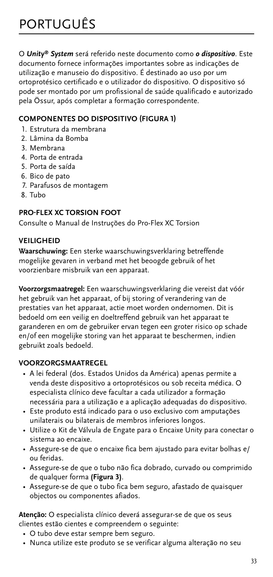<span id="page-32-0"></span>O *Unity® System* será referido neste documento como *o dispositivo*. Este documento fornece informações importantes sobre as indicações de utilização e manuseio do dispositivo. É destinado ao uso por um ortoprotésico certificado e o utilizador do dispositivo. O dispositivo só pode ser montado por um profissional de saúde qualificado e autorizado pela Össur, após completar a formação correspondente.

# **COMPONENTES DO DISPOSITIVO (FIGURA 1)**

- 1. Estrutura da membrana
- 2. Lâmina da Bomba
- 3. Membrana
- 4. Porta de entrada
- 5. Porta de saída
- 6. Bico de pato
- 7. Parafusos de montagem
- 8. Tubo

# **PRO-FLEX XC TORSION FOOT**

Consulte o Manual de Instruções do Pro-Flex XC Torsion

# **VEILIGHEID**

**Waarschuwing:** Een sterke waarschuwingsverklaring betreffende mogelijke gevaren in verband met het beoogde gebruik of het voorzienbare misbruik van een apparaat.

**Voorzorgsmaatregel:** Een waarschuwingsverklaring die vereist dat vóór het gebruik van het apparaat, of bij storing of verandering van de prestaties van het apparaat, actie moet worden ondernomen. Dit is bedoeld om een veilig en doeltreffend gebruik van het apparaat te garanderen en om de gebruiker ervan tegen een groter risico op schade en/of een mogelijke storing van het apparaat te beschermen, indien gebruikt zoals bedoeld.

# **VOORZORGSMAATREGEL**

- A lei federal (dos. Estados Unidos da América) apenas permite a venda deste dispositivo a ortoprotésicos ou sob receita médica. O especialista clínico deve facultar a cada utilizador a formação necessária para a utilização e a aplicação adequadas do dispositivo.
- Este produto está indicado para o uso exclusivo com amputações unilaterais ou bilaterais de membros inferiores longos.
- Utilize o Kit de Válvula de Engate para o Encaixe Unity para conectar o sistema ao encaixe.
- Assegure-se de que o encaixe fica bem ajustado para evitar bolhas e/ ou feridas.
- Assegure-se de que o tubo não fica dobrado, curvado ou comprimido de qualquer forma **(Figura 3)**.
- Assegure-se de que o tubo fica bem seguro, afastado de quaisquer objectos ou componentes afiados.

**Atenção:** O especialista clínico deverá assegurar-se de que os seus clientes estão cientes e compreendem o seguinte:

- O tubo deve estar sempre bem seguro.
- Nunca utilize este produto se se verificar alguma alteração no seu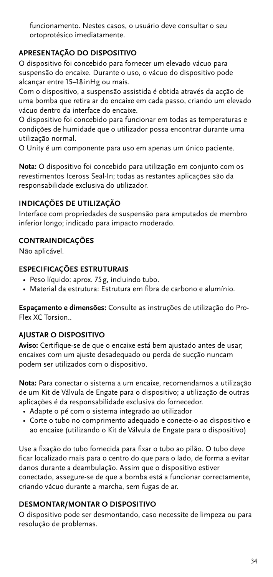funcionamento. Nestes casos, o usuário deve consultar o seu ortoprotésico imediatamente.

# **APRESENTAÇÃO DO DISPOSITIVO**

O dispositivo foi concebido para fornecer um elevado vácuo para suspensão do encaixe. Durante o uso, o vácuo do dispositivo pode alcançar entre 15–18 inHg ou mais.

Com o dispositivo, a suspensão assistida é obtida através da acção de uma bomba que retira ar do encaixe em cada passo, criando um elevado vácuo dentro da interface do encaixe.

O dispositivo foi concebido para funcionar em todas as temperaturas e condições de humidade que o utilizador possa encontrar durante uma utilização normal.

O Unity é um componente para uso em apenas um único paciente.

**Nota:** O dispositivo foi concebido para utilização em conjunto com os revestimentos Iceross Seal-In; todas as restantes aplicações são da responsabilidade exclusiva do utilizador.

# **INDICAÇÕES DE UTILIZAÇÃO**

Interface com propriedades de suspensão para amputados de membro inferior longo; indicado para impacto moderado.

# **CONTRAINDICAÇÕES**

Não aplicável.

### **ESPECIFICAÇÕES ESTRUTURAIS**

- Peso líquido: aprox. 75g, incluindo tubo.
- Material da estrutura: Estrutura em fibra de carbono e alumínio.

**Espaçamento e dimensões:** Consulte as instruções de utilização do Pro-Flex XC Torsion..

# **AJUSTAR O DISPOSITIVO**

**Aviso:** Certifique-se de que o encaixe está bem ajustado antes de usar; encaixes com um ajuste desadequado ou perda de sucção nuncam podem ser utilizados com o dispositivo.

**Nota:** Para conectar o sistema a um encaixe, recomendamos a utilização de um Kit de Válvula de Engate para o dispositivo; a utilização de outras aplicações é da responsabilidade exclusiva do fornecedor.

- Adapte o pé com o sistema integrado ao utilizador
- Corte o tubo no comprimento adequado e conecte-o ao dispositivo e ao encaixe (utilizando o Kit de Válvula de Engate para o dispositivo)

Use a fixação do tubo fornecida para fixar o tubo ao pilão. O tubo deve ficar localizado mais para o centro do que para o lado, de forma a evitar danos durante a deambulação. Assim que o dispositivo estiver conectado, assegure-se de que a bomba está a funcionar correctamente, criando vácuo durante a marcha, sem fugas de ar.

# **DESMONTAR/MONTAR O DISPOSITIVO**

O dispositivo pode ser desmontando, caso necessite de limpeza ou para resolução de problemas.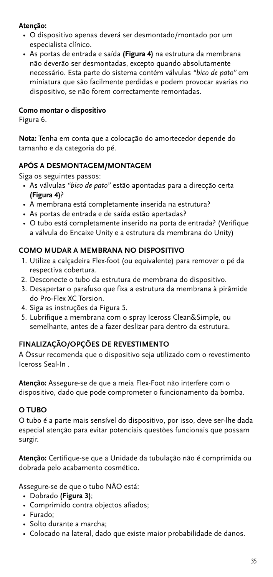# **Atenção:**

- O dispositivo apenas deverá ser desmontado/montado por um especialista clínico.
- As portas de entrada e saída **(Figura 4)** na estrutura da membrana não deverão ser desmontadas, excepto quando absolutamente necessário. Esta parte do sistema contém válvulas *"bico de pato"* em miniatura que são facilmente perdidas e podem provocar avarias no dispositivo, se não forem correctamente remontadas.

# **Como montar o dispositivo**

Figura 6.

**Nota:** Tenha em conta que a colocação do amortecedor depende do tamanho e da categoria do pé.

# **APÓS A DESMONTAGEM/MONTAGEM**

Siga os seguintes passos:

- As válvulas *"bico de pato"* estão apontadas para a direcção certa **(Figura 4)**?
- A membrana está completamente inserida na estrutura?
- As portas de entrada e de saída estão apertadas?
- O tubo está completamente inserido na porta de entrada? (Verifique a válvula do Encaixe Unity e a estrutura da membrana do Unity)

# **COMO MUDAR A MEMBRANA NO DISPOSITIVO**

- 1. Utilize a calçadeira Flex-foot (ou equivalente) para remover o pé da respectiva cobertura.
- 2. Desconecte o tubo da estrutura de membrana do dispositivo.
- 3. Desapertar o parafuso que fixa a estrutura da membrana à pirâmide do Pro-Flex XC Torsion.
- 4. Siga as instruções da Figura 5.
- 5. Lubrifique a membrana com o spray Iceross Clean&Simple, ou semelhante, antes de a fazer deslizar para dentro da estrutura.

# **FINALIZAÇÃO/OPÇÕES DE REVESTIMENTO**

A Össur recomenda que o dispositivo seja utilizado com o revestimento Iceross Seal-In .

**Atenção:** Assegure-se de que a meia Flex-Foot não interfere com o dispositivo, dado que pode comprometer o funcionamento da bomba.

### **O TUBO**

O tubo é a parte mais sensível do dispositivo, por isso, deve ser-lhe dada especial atenção para evitar potenciais questões funcionais que possam surgir.

**Atenção:** Certifique-se que a Unidade da tubulação não é comprimida ou dobrada pelo acabamento cosmético.

Assegure-se de que o tubo NÃO está:

- Dobrado **(Figura 3)**;
- Comprimido contra objectos afiados;
- Furado;
- Solto durante a marcha;
- Colocado na lateral, dado que existe maior probabilidade de danos.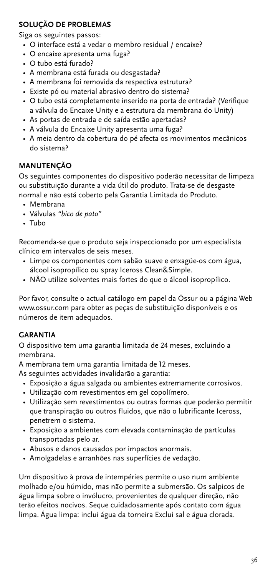# **SOLUÇÃO DE PROBLEMAS**

Siga os seguintes passos:

- O interface está a vedar o membro residual / encaixe?
- O encaixe apresenta uma fuga?
- O tubo está furado?
- A membrana está furada ou desgastada?
- A membrana foi removida da respectiva estrutura?
- Existe pó ou material abrasivo dentro do sistema?
- O tubo está completamente inserido na porta de entrada? (Verifique a válvula do Encaixe Unity e a estrutura da membrana do Unity)
- As portas de entrada e de saída estão apertadas?
- A válvula do Encaixe Unity apresenta uma fuga?
- A meia dentro da cobertura do pé afecta os movimentos mecânicos do sistema?

# **MANUTENÇÃO**

Os seguintes componentes do dispositivo poderão necessitar de limpeza ou substituição durante a vida útil do produto. Trata-se de desgaste normal e não está coberto pela Garantia Limitada do Produto.

- Membrana
- Válvulas *"bico de pato"*
- Tubo

Recomenda-se que o produto seja inspeccionado por um especialista clínico em intervalos de seis meses.

- Limpe os componentes com sabão suave e enxagúe-os com água, álcool isopropílico ou spray Iceross Clean&Simple.
- NÃO utilize solventes mais fortes do que o álcool isopropílico.

Por favor, consulte o actual catálogo em papel da Össur ou a página Web www.ossur.com para obter as peças de substituição disponíveis e os números de item adequados.

### **GARANTIA**

O dispositivo tem uma garantia limitada de 24 meses, excluindo a membrana.

A membrana tem uma garantia limitada de 12 meses.

- As seguintes actividades invalidarão a garantia:
	- Exposição a água salgada ou ambientes extremamente corrosivos.
	- Utilização com revestimentos em gel copolímero.
	- Utilização sem revestimentos ou outras formas que poderão permitir que transpiração ou outros fluidos, que não o lubrificante Iceross, penetrem o sistema.
	- Exposição a ambientes com elevada contaminação de partículas transportadas pelo ar.
	- Abusos e danos causados por impactos anormais.
	- Amolgadelas e arranhões nas superfícies de vedação.

Um dispositivo à prova de intempéries permite o uso num ambiente molhado e/ou húmido, mas não permite a submersão. Os salpicos de água limpa sobre o invólucro, provenientes de qualquer direção, não terão efeitos nocivos. Seque cuidadosamente após contato com água limpa. Água limpa: inclui água da torneira Exclui sal e água clorada.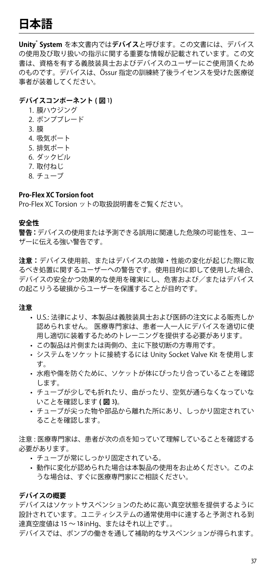# <span id="page-36-0"></span>**日本語**

**Unity® System** を本文書内では**デバイス**と呼びます。この文書には、デバイス の使用及び取り扱いの指示に関する重要な情報が記載されています。この文 書は、資格を有する義肢装具士およびデバイスのユーザーにご使用頂くため のものです。デバイスは、Össur 指定の訓練終了後ライセンスを受けた医療従 事者が装着してください。

#### **デバイスコンポーネント ( 図** 1**)**

1. 膜ハウジング 2. ポンプブレード 3. 膜 4. 吸気ポート 5. 排気ポート 6. ダックビル 7. 取付ねじ 8. チューブ

#### **Pro-Flex XC Torsion foot**

Pro-Flex XC Torsion ットの取扱説明書をご覧ください。

#### **安全性**

**警告:**デバイスの使用または予測できる誤用に関連した危険の可能性を、ユー ザーに伝える強い警告です。

**注意:**デバイス使用前、またはデバイスの故障・性能の変化が起じた際に取 るべき処置に関するユーザーへの警告です。使用目的に即して使用した場合、 デバイスの安全かつ効果的な使用を確実にし、危害および/またはデバイス の起こりうる破損からユーザーを保護することが目的です。

#### **注意**

- • U.S.: 法律により、本製品は義肢装具士および医師の注文による販売しか 認められません。 医療専門家は、患者一人一人にデバイスを適切に使 用し適切に装着するためのトレーニングを提供する必要があります。
- • この製品は片側または両側の、主に下肢切断の方専用です。
- • システムをソケットに接続するには Unity Socket Valve Kit を使用しま す。
- 水疱や傷を防ぐために、ソケットが体にぴったり合っていることを確認 します。
- チューブが少しでも折れたり、曲がったり、空気が通らなくなっていな いことを確認します **( 図** 3**)**。
- • チューブが尖った物や部品から離れた所にあり、しっかり固定されてい ることを確認します。

注意 : 医療専門家は、患者が次の点を知っていて理解していることを確認する 必要があります。

- • チューブが常にしっかり固定されている。
- 動作に変化が認められた場合は本製品の使用をお止めください。このよ うな場合は、すぐに医療専門家にご相談ください。

#### **デバイスの概要**

デバイスはソケットサスペンションのために高い真空状態を提供するように 設計されています。ユニティシステムの通常使用中に達すると予測される到 達真空度値は 15 ~ 18inHg、またはそれ以上です。。

デバイスでは、ポンプの働きを通して補助的なサスペンションが得られます。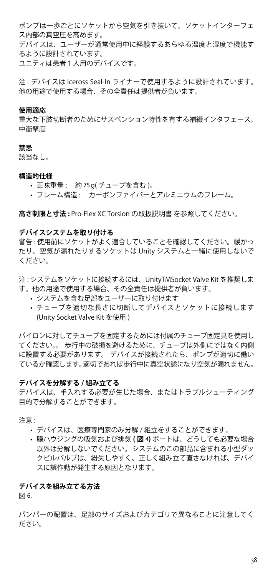ポンプは一歩ごとにソケットから空気を引き抜いて、ソケットインターフェ ス内部の真空圧を高めます。

デバイスは、ユーザーが通常使用中に経験するあらゆる温度と湿度で機能す るように設計されています。

ユニティは患者1人用のデバイスです。

注 : デバイスは Iceross Seal-In ライナーで使用するように設計されています。 他の用途で使用する場合、その全責任は提供者が負います。

#### **使用適応**

重大な下肢切断者のためにサスペンション特性を有する補綴インタフェース。 中衝撃度

#### **禁忌**

該当なし。

#### **構造的仕様**

- • 正味重量 : 約 75g( チューブを含む )。
- • フレーム構造 : カーボンファイバーとアルミニウムのフレーム。

**高さ制限と寸法 :** Pro-Flex XC Torsion の取扱説明書 を参照してください。

#### **デバイスシステムを取り付ける**

警告 : 使用前にソケットがよく適合していることを確認してください。緩かっ たり、空気が漏れたりするソケットは Unity システムと一緒に使用しないで ください。

注 : システムをソケットに接続するには、UnityTMSocket Valve Kit を推奨しま す。他の用途で使用する場合、その全責任は提供者が負います。

- システムを含む足部をユーザーに取り付けます
- チューブを適切な長さに切断してデバイスとソケットに接続します (Unity Socket Valve Kit を使用 )

パイロンに対してチューブを固定するためには付属のチューブ固定具を使用し てください。。 歩行中の破損を避けるために、チューブは外側にではなく内側 に設置する必要があります。 デバイスが接続されたら、ポンプが適切に働い ているか確認します。適切であれば歩行中に真空状態になり空気が漏れません。

#### **デバイスを分解する / 組み立てる**

デバイスは、手入れする必要が生じた場合、またはトラブルシューティング 目的で分解することができます。

注意:

- • デバイスは、医療専門家のみ分解 / 組立をすることができます。
- • 膜ハウジングの吸気および排気 **( 図** 4**)** ポートは、どうしても必要な場合 以外は分解しないでください。システムのこの部品に含まれる小型ダッ クビルバルブは、紛失しやすく、正しく組み立て直さなければ、デバイ スに誤作動が発生する原因となります。

#### **デバイスを組み立てる方法**

図 6.

バンパーの配置は、足部のサイズおよびカテゴリで異なることに注意してく ださい。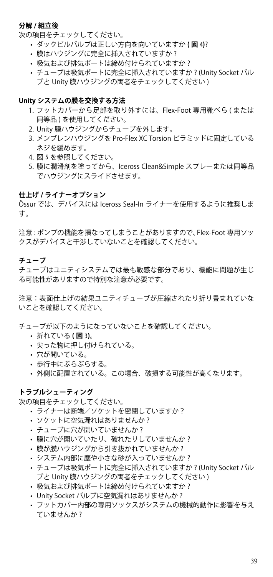#### **分解 / 組立後**

次の項目をチェックしてください。

- • ダックビルバルブは正しい方向を向いていますか **( 図** 4**)**?
- 膜はハウジングに完全に挿入されていますか?
- 吸気および排気ポートは締め付けられていますか?
- • チューブは吸気ポートに完全に挿入されていますか ? (Unity Socket バル ブと Unity 膜ハウジングの両者をチェックしてください )

#### **Unity システムの膜を交換する方法**

- 1. フットカバーから足部を取り外すには、Flex-Foot 専用靴べら (または 同等品 ) を使用してください。
- 2. Unity 膜ハウジングからチューブを外します。
- 3. メンブレンハウジングを Pro-Flex XC Torsion ピラミッドに固定している ネジを緩めます。
- 4. 図 5 を参照してください。
- 5. 膜に潤滑剤を塗ってから、Iceross Clean&Simple スプレーまたは同等品 でハウジングにスライドさせます。

#### **仕上げ / ライナーオプション**

Össur では、デバイスには Iceross Seal-In ライナーを使用するように推奨しま す。

注意 : ポンプの機能を損なってしまうことがありますので、Flex-Foot 専用ソッ クスがデバイスと干渉していないことを確認してください。

#### **チューブ**

チューブはユニティシステムでは最も敏感な部分であり、機能に問題が生じ る可能性がありますので特別な注意が必要です。

注意:表面仕上げの結果ユニティチューブが圧縮されたり折り畳まれていな いことを確認してください。

チューブが以下のようになっていないことを確認してください。

- • 折れている **( 図** 3**)**。
- • 尖った物に押し付けられている。
- 穴が開いている。
- 歩行中にぶらぶらする。
- • 外側に配置されている。この場合、破損する可能性が高くなります。

#### **トラブルシューティング**

次の項目をチェックしてください。

- ライナーは断端/ソケットを密閉していますか?
- ソケットに空気漏れはありませんか?
- チューブに穴が開いていませんか?
- 膜に穴が開いていたり、破れたりしていませんか?
- 膜が膜ハウジングから引き抜かれていませんか?
- システム内部に塵や小さな砂が入っていませんか?
- • チューブは吸気ポートに完全に挿入されていますか ? (Unity Socket バル ブと Unity 膜ハウジングの両者をチェックしてください )
- 吸気および排気ポートは締め付けられていますか?
- Unity Socket バルブに空気漏れはありませんか?
- • フットカバー内部の専用ソックスがシステムの機械的動作に影響を与え ていませんか ?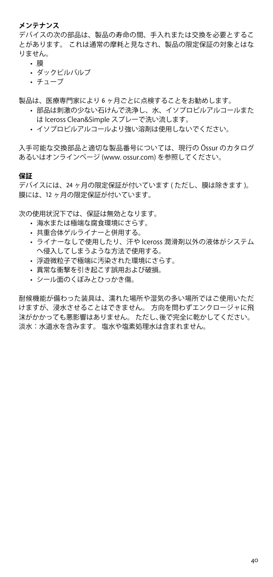#### **メンテナンス**

デバイスの次の部品は、製品の寿命の間、手入れまたは交換を必要とするこ とがあります。 これは通常の摩耗と見なされ、製品の限定保証の対象とはな りません。

- • 膜
- • ダックビルバルブ
- $\cdot$  チューブ

製品は、医療専門家により 6 ヶ月ごとに点検することをお勧めします。

- 部品は刺激の少ない石けんで洗浄し、水、イソプロピルアルコールまた は Iceross Clean&Simple スプレーで洗い流します。
- イソプロピルアルコールより強い溶剤は使用しないでください。

入手可能な交換部品と適切な製品番号については、現行の Össur のカタログ あるいはオンラインページ (www. ossur.com) を参照してください。

#### **保証**

デバイスには、24 ヶ月の限定保証が付いています ( ただし、膜は除きます )。 膜には、12 ヶ月の限定保証が付いています。

次の使用状況下では、保証は無効となります。

- • 海水または極端な腐食環境にさらす。
- • 共重合体ゲルライナーと併用する。
- • ライナーなしで使用したり、汗や Iceross 潤滑剤以外の液体がシステム へ侵入してしまうような方法で使用する。
- 浮游微粒子で極端に汚染された環境にさらす。
- • 異常な衝撃を引き起こす誤用および破損。
- シール面のくぼみとひっかき傷。

耐候機能が備わった装具は、濡れた場所や湿気の多い場所ではご使用いただ けますが、浸水させることはできません。 方向を問わずエンクロージャに飛 沫がかかっても悪影響はありません。 ただし、後で完全に乾かしてください。 淡水:水道水を含みます。 塩水や塩素処理水は含まれません。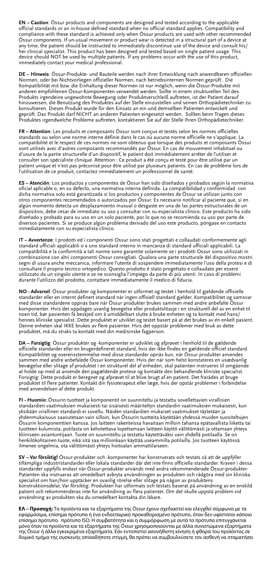**EN – Caution**: Össur products and components are designed and tested according to the applicable official standards or an in-house defined standard when no official standard applies. Compatibility and compliance with these standard is achieved only when Össur products are used with other recom-Össur components. If un-usual movement or product wear is detected in a structural part of a device at any time, the patient should be instructed to immediately discontinue use of the device and consult his/ her clinical specialist. This product has been designed and tested based on single patient usage. This device should NOT be used by multiple patients. If any problems occur with the use of this product, immediately contact your medical professional.

**DE – Hinweis**: Össur-Produkte- und Bauteile werden nach ihrer Entwicklung nach anwendbaren offiziellen Normen, oder bei Nichtvorliegen offizieller Normen, nach betriebsinternen Normen geprüft . Die Kompatibilität mit bzw. die Einhaltung dieser Normen ist nur möglich, wenn die Össur-Produkte mit anderen empfohlenen Össur-Komponenten verwendet werden. Sollte in einem strukturellen Teil des Produkts irgendeine ungewohnte Bewegung oder Produktverschleiß auftreten, ist der Patient darauf hinzuweisen, die Benutzung des Produktes auf der Stelle einzustellen und seinen Orthopädietechniker zu konsultieren. Dieses Produkt wurde für den Einsatz an ein und demselben Patienten entwickelt und geprüft. Das Produkt darf NICHT an anderen Patienten eingesetzt werden. Sollten beim Tragen dieses Produktes irgendwelche Probleme auftreten, kontaktieren Sie auf der Stelle Ihren Orthopädietechniker.

**FR – Attention**: Les produits et composants Össur sont conçus et testés selon les normes officielles standards ou selon une norme interne définie dans le cas où aucune norme officielle ne s'applique. La compatibilité et le respect de ces normes ne sont obtenus que lorsque des produits et composants Össur sont utilisés avec d'autres composants recommandés par Össur. En cas de mouvement inhabituel ou d'usure de la partie structurelle d'un dispositif, le patient doit immédiatement arrêter de l'utiliser et consulter son spécialiste clinique. Attention : Ce produit a été conçu et testé pour être utilisé par un<br>patient unique et n'est pas préconisé pour être utilisé par plusieurs patients. En cas de problème lors de<br>l'utilisat

**ES – Atención**: Los productos y componentes de Össur han sido diseñados y probados según la normativa oficial aplicable o, en su defecto, una normativa interna definida. La compatibilidad y conformidad con dicha normativa solo está garantizada si los productos y componentes de Össur se utilizan junto con otros componentes recomendados o autorizados por Össur. Es necesario notificar al paciente que, si en algún momento detecta un desplazamiento inusual o desgaste en una de las partes estructurales de un dispositivo, debe cesar de inmediato su uso y consultar con su especialista clínico. Este producto ha sido diseñado y probado para su uso en un solo paciente, por lo que no se recomienda su uso por parte de diversos pacientes. Si se produce algún problema derivado del uso este producto, póngase en contacto inmediatamente con su especialista clínico.

**IT – Avvertenze**: I prodotti ed i componenti Ossur sono stati progettati e collaudati conformemente agli standard ufficiali applicabili o a uno standard interno in mancanza di standard ufficiali applicabili. La compatibilità e la conformità a tali norme sono garantite solamente se i prodotti Ossur sono utilizzati in combinazione con altri componenti Ossur consigliati. Qualora una parte strutturale del dispositivo mostri segni di usura anche meccanica, informare l'utente di sospendere immediatamente l'uso della protesi e di consultare il proprio tecnico ortopedico. Questo prodotto è stato progettato e collaudato per essere utilizzato da un singolo utente e se ne sconsiglia l'impiego da parte di più utenti. In caso di problemi durante l'utilizzo del prodotto, contattare immediatamente il medico di fiducia.

**NO - Advarsel**: Össur produkter og komponenter er utformet og testet i henhold til gjeldende offisielle standarder eller en internt definert standard når ingen offisiell standard gjelder. Kompatibilitet og samsvar<br>med disse standardene oppnås bare når Össur produkter brukes sammen med andre anbefalte Össur komponenter. Hvis det oppdages uvanlig bevegelse eller produktslitasje i en strukturell del av en enhet til noen tid, bør pasienten få beskjed om å umiddelbart slutte å bruke enheten og ta kontakt med hans/ hennes kliniske spesialist. Dette produktet er utviklet og testet basert på at det brukes av én enkelt pasient. Denne enheten skal IKKE brukes av flere pasienter. Hvis det oppstår problemer med bruk av dette produktet, må du straks ta kontakt med din medisinske fagperson.

**DA – Forsigtig**: Össur produkter og -komponenter er udviklet og afprøvet i henhold til de gældende officielle standarder eller en brugerdefineret standard, hvis der ikke findes en gældende officiel standard. Kompatibilitet og overensstemmelse med disse standarder opnås kun, når Össur produkter anvendes sammen med andre anbefalede Össur komponenter. Hvis der når som helst konstateres en usædvanlig bevægelse eller slitage af produktet i en strukturel del af enheden, skal patienten instrueres til omgående at holde op med at anvende den pagældende protese og kontakte den behandlende kliniske specialist. Forsigtig: Dette produkt er beregnet og afprøvet til at blive brugt af en patient. Det frarådes at bruge<br>produktet til flere patienter. Kontakt din fysioterapeut eller læge, hvis der opstår problemer i forbindelse<br>med anve

**FI - Huomio:** Össurin tuotteet ja komponentit on suunniteltu ja testattu sovellettavien virallisien standardien vaatimuksien mukaisesti tai sisäisesti määriteltyn standardin vaatimuksien mukaisesti, kun yksikään virallinen standardi ei sovellu. Näiden standardien mukaiset vaatimukset täytetään ja yhdenmukaisuus saavutetaan vain silloin, kun Össurin tuotteita käytetään yhdessä muiden suositeltujen<br>Össurin komponenttien kanssa. Jos laitteen rakenteissa havaitaan milloin tahansa epätavallista liiketta tai<br>tuotteen kul kliiniseen asiantuntijaan. Tuote on suunniteltu ja testattu käytettäväksi vain yhdellä potilaalla. Se on henkilökohtainen tuote, eikä sitä saa milloinkaan käyttää useammilla potilailla. Jos tuotteen käytössä ilmenee ongelmia, ota välittömästi yhteys hoitoalan ammattilaiseen.

**SV – Var försiktig!** Össur-produkter och -komponenter har konstruerats och testats så att de uppfyller tillämpliga industristandarder eller lokala standarder där det inte finns officiella standarder. Kraven i dessa standarder uppfylls endast när Össur-produkter används med andra rekommenderade Össur-produkter-Patienten ska instrueras att omedelbart avbryta användningen av produkten och rådgöra med sin kliniska specialist om han/hon upptäcker en ovanlig rörelse eller slitage på någon av produktens konstruktionsdelar, Var försiktig: Produkten har utformats och testats baserat på användning av en enskild patient och rekommenderas inte for användning av flera patienter. Om det skulle uppstå problem vid användning av produkten ska du omedelbart kontakta din läkare.

**ΕΛ – Προσοχή:** Τα προϊόντα και τα εξαρτήματα της Össur έχουν σχεδιαστεί και ελεγχθεί σύμφωνα με τα εφαρμόσιμα, επίσημα πρότυπα ή ένα ενδοεταιρικό προκαθορισμένο πρότυπο, όταν δεν υφίσταται κάποιο επίσημο πρότυπο. πρότυπο ISO. Η συμβατότητα και η συμμόρφωση με αυτά τα πρότυπα επιτυγχάνεται μόνο όταν τα προϊόντα και τα εξαρτήματα της Össur χρησιμοποιούνται με άλλα συνιστώμενα εξαρτήματα της Össur ή άλλα εγκεκριμένα εξαρτήματα. Εάν εντοπιστεί ασυνήθιστη κίνηση ή φθορά του προϊόντος σε δομικό τμήμα της συσκευής οποιαδήποτε στιγμή, θα πρέπει να συμβουλεύσετε τον ασθενή να σταματήσει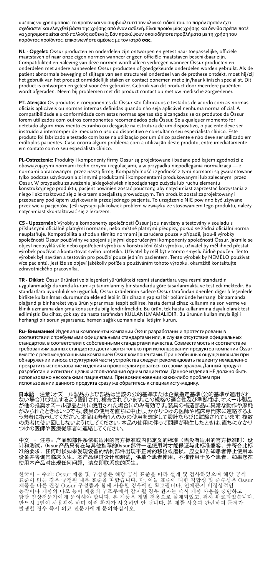αμέσως να χρησιμοποιεί το προϊόν και να συμβουλευτεί τον κλινικό ειδικό του. Το παρόν προϊόν έχει σχεδιαστεί και ελεγχθεί βάσει της χρήσης από έναν ασθενή. Είναι προϊόν μίας χρήσης και δεν θα πρέπει ποτέ να χρησιμοποιείται από πολλούς ασθενείς. Εάν προκύψουν οποιαδήποτε προβλήματα με τη χρήση του παρόντος προϊόντος, επικοινωνήστε αμέσως με τον ιατρό **σας.**

**NL - Opgelet:** Össur producten en onderdelen zijn ontworpen en getest naar toepasselijke, officiële maatstaven of naar onze eigen normen wanneer er geen officiële maatstaven beschikbaar zijn. Compatibiliteit en naleving van deze normen wordt alleen verkregen wanneer Össur producten en onderdelen met andere aanbevolen Össur producten of goedgekeurde onderdelen worden gebruikt. Als de patiënt abnormale beweging of slijtage van een structureel onderdeel van de prothese ontdekt, moet hij/zij het gebruik van het product onmiddellijk staken en contact opnemen met zijn/haar klinisch specialist. Dit product is ontworpen en getest voor één gebruiker. Gebruik van dit product door meerdere patiënten wordt afgeraden. Neem bij problemen met dit product contact op met uw medische zorgverlener.

**PT- Atenção:** Os produtos e componentes da Össur são fabricados e testados de acordo com as normas oficiais aplicáveis ou normas internas definidas quando não seja aplicável nenhuma norma oficial. A compatibilidade e a conformidade com estas normas apenas são alcançadas se os produtos da Össur forem utilizados com outros componentes recomendados pela Össur. Se a qualquer momento for detetado algum movimento estranho ou desgaste na estrutura de um dispositivo, o paciente deve ser instruído a interromper de imediato o uso do dispositivo e consultar o seu especialista clínico. Este produto foi fabricado e testado com base na utilização por um único paciente e não deve ser utilizado em múltiplos pacientes. Caso ocorra algum problema com a utilização deste produto, entre imediatamente em contato com o seu especialista clínico.

**PL-Ostrzeżenie:** Produkty i komponenty firmy Ossur są projektowane i badane pod kątem zgodności z<br>obowiązującymi normami technicznymi i regulacjami, a w przypadku niepodlegania normalizacji — z<br>normami opracowanymi przez tylko podczas użytkowania z innymi produktami i komponentami produkowanymi lub zalecanymi przez Ossur. W przypadku zauważenia jakiegokolwiek niepożądanego zużycia lub ruchu elementu konstrukcyjnego produktu, pacjent powinien zostać pouczony, aby natychmiast zaprzestać korzystania z niego i skontaktować się z lekarzem specjalistą prowadzącym. Ten produkt został zaprojektowany i przebadany pod kątem użytkowania przez jednego pacjenta. To urządzenie NIE powinno być używane przez wielu pacjentów. Jeśli wystąpi jakikolwiek problem w związku ze stosowaniem tego produktu, należy natychmiast skontaktować się z lekarzem.

**CS - Upozornění:** Výrobky a komponenty společnosti Össur jsou navrženy a testovány v souladu s příslušnými oficiálně platnými normami, nebo místně platnými předpisy, pokud se žádná oficiální norma neuplatňuje. Kompatibilita a shoda s těmito normami je zaručena pouze v případě, jsou-li výrobky společnosti Össur používány ve spojení s jinými doporučenými komponenty společnosti Össur. Jakmile se objeví neobvyklá vůle nebo opotřebení výrobku v konstrukční části výrobku, uživatel by měl ihned přestat výrobek používat a kontaktovat svého protetika. Uživatel by měl být v tomto smyslu řádně poučen. Tento<br>výrobek byl navržen a testován pro použití pouze jedním pacientem. Tento výrobek by NEMÉLO používat<br>více pacientů. Jest zdravotnického pracovníka.

**TR - Dikkat:** Össur ürünleri ve bileşenleri yürürlükteki resmi standartlara veya resmi standardın uygulanmadığı durumda kurum-içi tanımlanmış bir standarda göre tasarlanmakta ve test edilmektedir. Bu<br>standartlara uyumluluk ve uygunluk, Össur ürünlerinin sadece Össur tarafından önerilen diğer bileşenlerle<br>birlikte kulla olağandışı bir hareket veya ürün yıpranması tespit edilirse, hasta derhal cihaz kullanımına son verme ve klinik uzmanına danışma konusunda bilgilendirilmelidir. Bu ürün, tek hasta kullanımına dayalı olarak test<br>edilmiştir. Bu cihaz, çok sayıda hasta tarafından KULLANILMAMALIDIR. Bu ürünün kullanımıyla ilgili herhangi bir sorun yaşarsanız, hemen sağlık uzmanınızla iletişim kurun.

**Ru- Внимание!** Изделия и компоненты компании Össur разработаны и протестированы в соответствии с требуемыми официальными стандартами или, в случае отсутствия официальных стандартов, в соответствии с собственными стандартами качества. Совместимость и соответствие требованиям данных стандартов достигаются только при использовании продуктов компании Össur вместе с рекомендованными компанией Össur компонентами. При необычных ощущениях или при обнаружении износа структурной части устройства следует рекомендовать пациенту немедленно прекратить использование изделия и проконсультироваться со своим врачом. Данный продукт разработан и испытан с целью использования одним пациентом. Данное изделия НЕ должно быть использовано несколькими пациентами. При возникновении каких-либо проблем при использовании данного продукта сразу же обратитесь к специалисту-медику.

**日本語** 注意:オズール製品および部品は当該の公的基準または企業指定基準(公的基準が適用された場合)に対応するよう設計され、被査されています。この規格の適合性及び準拠性は、オズール製品をかけることができません。これは、この場合が、この場合がありません。<br>が他の推奨オズール部品と共に使用された場合にのみ有効です。装具の構造部品に異常な動作や摩耗がありたときはないでき、装具の使用を直ちにも行われた場合が、これを、これにおります。複数<br>うみ

中文 - 注意: 产品和部件系依据适用的官方标准或内部定义的标准 (当没有适用的官方标准时) 设 计和测试。Ossur产品只有在与其他推荐的Ossur部件一起使用时才能保证与此标准兼容,并符合此标<br>准的要求。任何时候如果发现设备的结构部件出现不正常的移位或磨损,应立即告知患者停止使用本<br>设备并咨询其临床医生。本产品经过设计和测试,供单个患者使用,不推荐用于多个患者。如果您在<br>使用本产品时出现任何问题,请立即联系您的医生。

한국어 - 주의: Ossur 제품 및 구성품은 해당 공식 표준을 따라 설계 및 검사하였으며 해당 공식<br>표준이 없는 경우 규정된 내부 표준을 따랐습니다. 단, 이들 표준에 대한 적합성 및 준수성은 Ossur<br>제품을 다른 권장 Ossur 구성품과 함께 사용할 경우에만 확보됩니다. 언제든지 비정상적인<br>남당 임상전문가에게 문의해야 합니다. 본 제품은 개별 전용으로 설계되었고, 검사 완료되었습니다.<br>담